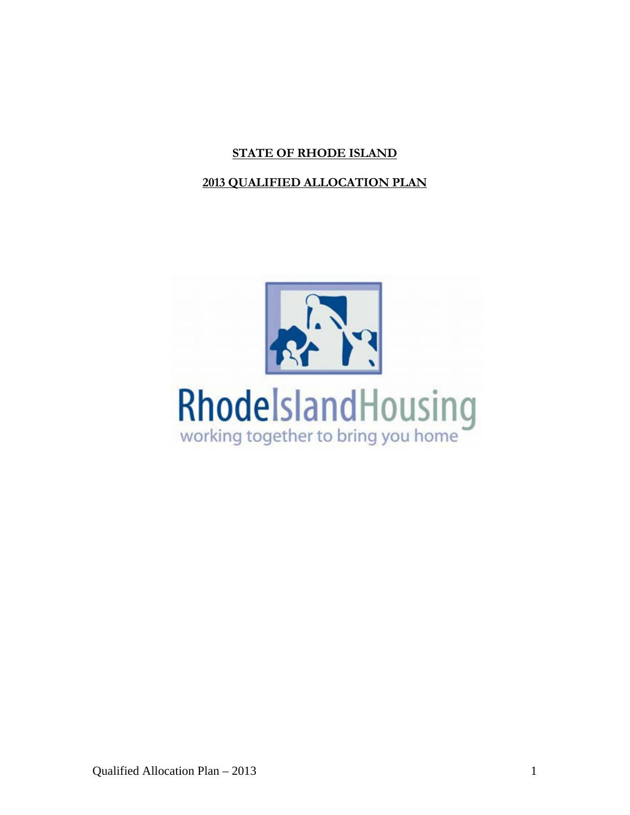# **STATE OF RHODE ISLAND**

## **2013 QUALIFIED ALLOCATION PLAN**

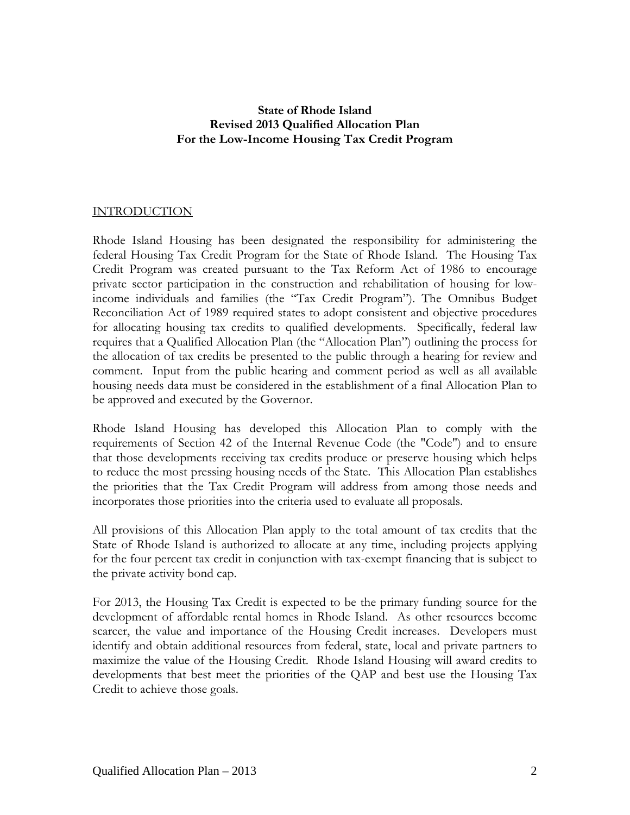### **State of Rhode Island Revised 2013 Qualified Allocation Plan For the Low-Income Housing Tax Credit Program**

## INTRODUCTION

Rhode Island Housing has been designated the responsibility for administering the federal Housing Tax Credit Program for the State of Rhode Island. The Housing Tax Credit Program was created pursuant to the Tax Reform Act of 1986 to encourage private sector participation in the construction and rehabilitation of housing for lowincome individuals and families (the "Tax Credit Program"). The Omnibus Budget Reconciliation Act of 1989 required states to adopt consistent and objective procedures for allocating housing tax credits to qualified developments. Specifically, federal law requires that a Qualified Allocation Plan (the "Allocation Plan") outlining the process for the allocation of tax credits be presented to the public through a hearing for review and comment. Input from the public hearing and comment period as well as all available housing needs data must be considered in the establishment of a final Allocation Plan to be approved and executed by the Governor.

Rhode Island Housing has developed this Allocation Plan to comply with the requirements of Section 42 of the Internal Revenue Code (the "Code") and to ensure that those developments receiving tax credits produce or preserve housing which helps to reduce the most pressing housing needs of the State. This Allocation Plan establishes the priorities that the Tax Credit Program will address from among those needs and incorporates those priorities into the criteria used to evaluate all proposals.

All provisions of this Allocation Plan apply to the total amount of tax credits that the State of Rhode Island is authorized to allocate at any time, including projects applying for the four percent tax credit in conjunction with tax-exempt financing that is subject to the private activity bond cap.

For 2013, the Housing Tax Credit is expected to be the primary funding source for the development of affordable rental homes in Rhode Island. As other resources become scarcer, the value and importance of the Housing Credit increases. Developers must identify and obtain additional resources from federal, state, local and private partners to maximize the value of the Housing Credit. Rhode Island Housing will award credits to developments that best meet the priorities of the QAP and best use the Housing Tax Credit to achieve those goals.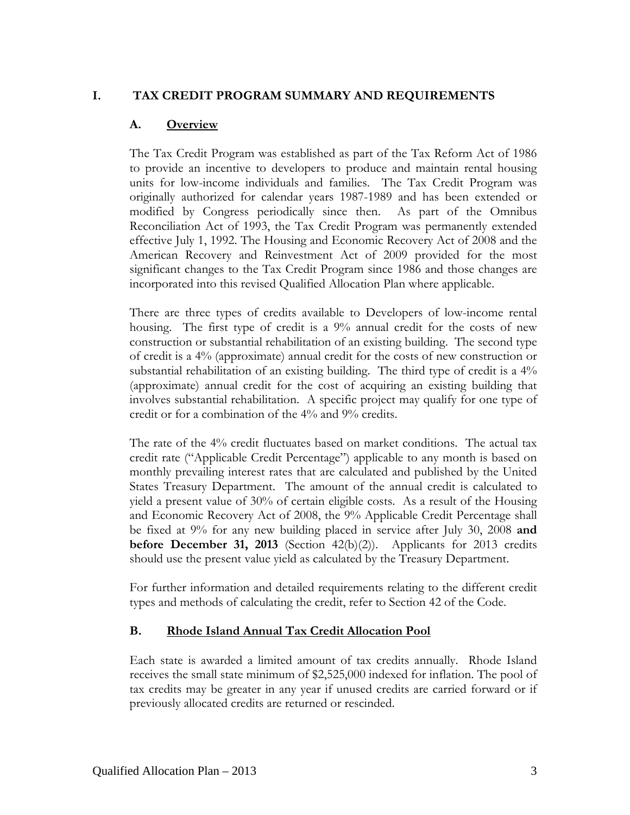## **I. TAX CREDIT PROGRAM SUMMARY AND REQUIREMENTS**

### **A. Overview**

The Tax Credit Program was established as part of the Tax Reform Act of 1986 to provide an incentive to developers to produce and maintain rental housing units for low-income individuals and families. The Tax Credit Program was originally authorized for calendar years 1987-1989 and has been extended or modified by Congress periodically since then. As part of the Omnibus Reconciliation Act of 1993, the Tax Credit Program was permanently extended effective July 1, 1992. The Housing and Economic Recovery Act of 2008 and the American Recovery and Reinvestment Act of 2009 provided for the most significant changes to the Tax Credit Program since 1986 and those changes are incorporated into this revised Qualified Allocation Plan where applicable.

There are three types of credits available to Developers of low-income rental housing. The first type of credit is a 9% annual credit for the costs of new construction or substantial rehabilitation of an existing building. The second type of credit is a 4% (approximate) annual credit for the costs of new construction or substantial rehabilitation of an existing building. The third type of credit is a 4% (approximate) annual credit for the cost of acquiring an existing building that involves substantial rehabilitation. A specific project may qualify for one type of credit or for a combination of the 4% and 9% credits.

The rate of the 4% credit fluctuates based on market conditions. The actual tax credit rate ("Applicable Credit Percentage") applicable to any month is based on monthly prevailing interest rates that are calculated and published by the United States Treasury Department. The amount of the annual credit is calculated to yield a present value of 30% of certain eligible costs. As a result of the Housing and Economic Recovery Act of 2008, the 9% Applicable Credit Percentage shall be fixed at 9% for any new building placed in service after July 30, 2008 **and before December 31, 2013** (Section 42(b)(2)). Applicants for 2013 credits should use the present value yield as calculated by the Treasury Department.

For further information and detailed requirements relating to the different credit types and methods of calculating the credit, refer to Section 42 of the Code.

### **B. Rhode Island Annual Tax Credit Allocation Pool**

Each state is awarded a limited amount of tax credits annually. Rhode Island receives the small state minimum of \$2,525,000 indexed for inflation. The pool of tax credits may be greater in any year if unused credits are carried forward or if previously allocated credits are returned or rescinded.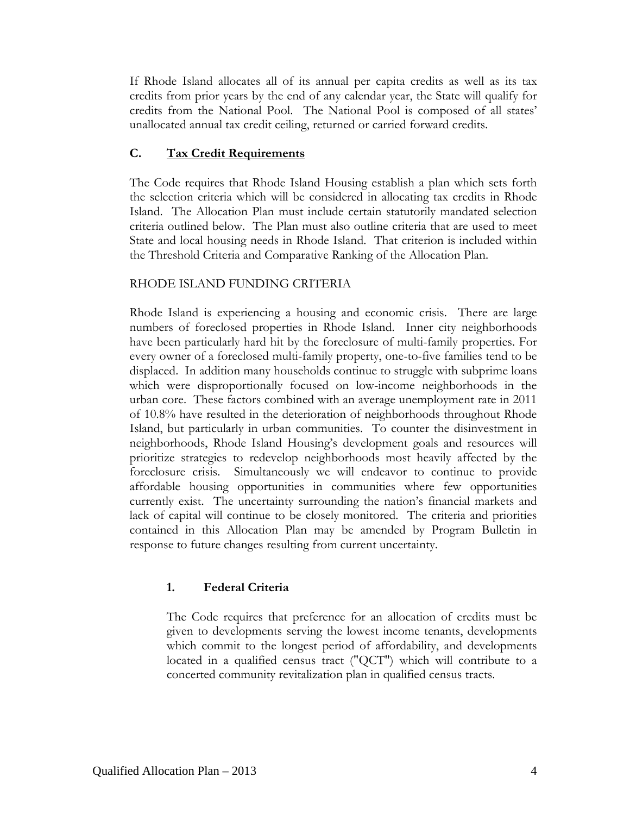If Rhode Island allocates all of its annual per capita credits as well as its tax credits from prior years by the end of any calendar year, the State will qualify for credits from the National Pool. The National Pool is composed of all states' unallocated annual tax credit ceiling, returned or carried forward credits.

## **C. Tax Credit Requirements**

The Code requires that Rhode Island Housing establish a plan which sets forth the selection criteria which will be considered in allocating tax credits in Rhode Island. The Allocation Plan must include certain statutorily mandated selection criteria outlined below. The Plan must also outline criteria that are used to meet State and local housing needs in Rhode Island. That criterion is included within the Threshold Criteria and Comparative Ranking of the Allocation Plan.

## RHODE ISLAND FUNDING CRITERIA

Rhode Island is experiencing a housing and economic crisis. There are large numbers of foreclosed properties in Rhode Island. Inner city neighborhoods have been particularly hard hit by the foreclosure of multi-family properties. For every owner of a foreclosed multi-family property, one-to-five families tend to be displaced. In addition many households continue to struggle with subprime loans which were disproportionally focused on low-income neighborhoods in the urban core. These factors combined with an average unemployment rate in 2011 of 10.8% have resulted in the deterioration of neighborhoods throughout Rhode Island, but particularly in urban communities. To counter the disinvestment in neighborhoods, Rhode Island Housing's development goals and resources will prioritize strategies to redevelop neighborhoods most heavily affected by the foreclosure crisis. Simultaneously we will endeavor to continue to provide affordable housing opportunities in communities where few opportunities currently exist. The uncertainty surrounding the nation's financial markets and lack of capital will continue to be closely monitored. The criteria and priorities contained in this Allocation Plan may be amended by Program Bulletin in response to future changes resulting from current uncertainty.

## **1. Federal Criteria**

The Code requires that preference for an allocation of credits must be given to developments serving the lowest income tenants, developments which commit to the longest period of affordability, and developments located in a qualified census tract ("QCT") which will contribute to a concerted community revitalization plan in qualified census tracts.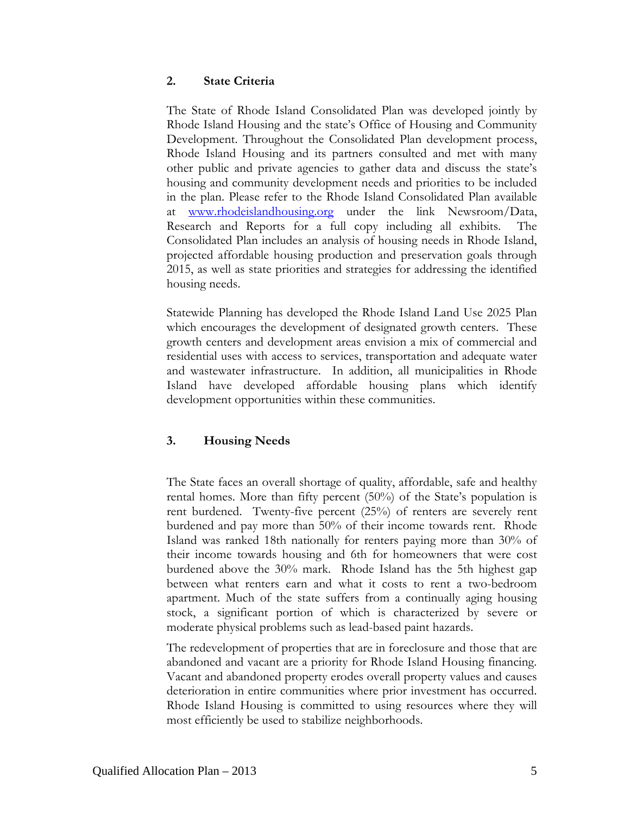#### **2. State Criteria**

The State of Rhode Island Consolidated Plan was developed jointly by Rhode Island Housing and the state's Office of Housing and Community Development. Throughout the Consolidated Plan development process, Rhode Island Housing and its partners consulted and met with many other public and private agencies to gather data and discuss the state's housing and community development needs and priorities to be included in the plan. Please refer to the Rhode Island Consolidated Plan available at [www.rhodeislandhousing.org](http://www.rhodeislandhousing.org/) under the link Newsroom/Data, Research and Reports for a full copy including all exhibits. The Consolidated Plan includes an analysis of housing needs in Rhode Island, projected affordable housing production and preservation goals through 2015, as well as state priorities and strategies for addressing the identified housing needs.

Statewide Planning has developed the Rhode Island Land Use 2025 Plan which encourages the development of designated growth centers. These growth centers and development areas envision a mix of commercial and residential uses with access to services, transportation and adequate water and wastewater infrastructure. In addition, all municipalities in Rhode Island have developed affordable housing plans which identify development opportunities within these communities.

### **3. Housing Needs**

The State faces an overall shortage of quality, affordable, safe and healthy rental homes. More than fifty percent (50%) of the State's population is rent burdened. Twenty-five percent (25%) of renters are severely rent burdened and pay more than 50% of their income towards rent. Rhode Island was ranked 18th nationally for renters paying more than 30% of their income towards housing and 6th for homeowners that were cost burdened above the 30% mark. Rhode Island has the 5th highest gap between what renters earn and what it costs to rent a two-bedroom apartment. Much of the state suffers from a continually aging housing stock, a significant portion of which is characterized by severe or moderate physical problems such as lead-based paint hazards.

The redevelopment of properties that are in foreclosure and those that are abandoned and vacant are a priority for Rhode Island Housing financing. Vacant and abandoned property erodes overall property values and causes deterioration in entire communities where prior investment has occurred. Rhode Island Housing is committed to using resources where they will most efficiently be used to stabilize neighborhoods.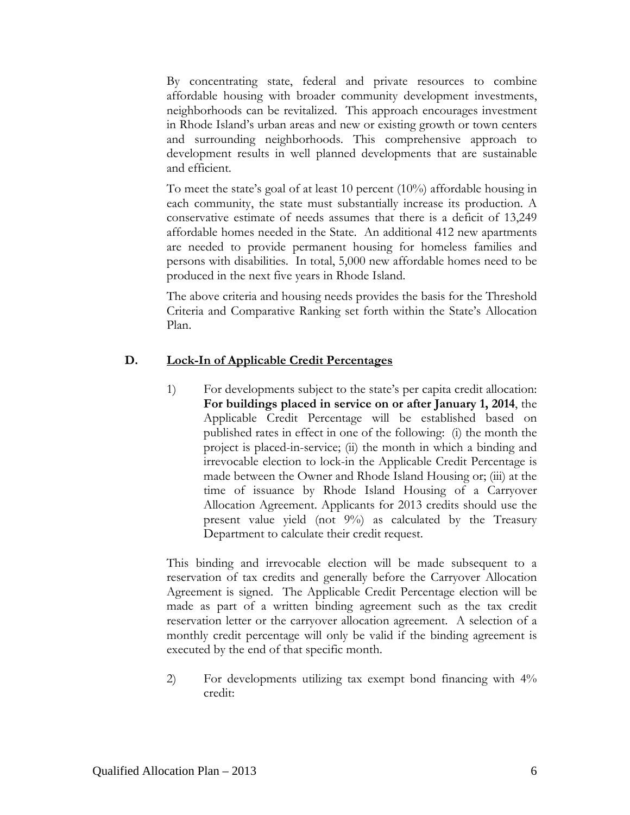By concentrating state, federal and private resources to combine affordable housing with broader community development investments, neighborhoods can be revitalized. This approach encourages investment in Rhode Island's urban areas and new or existing growth or town centers and surrounding neighborhoods. This comprehensive approach to development results in well planned developments that are sustainable and efficient.

To meet the state's goal of at least 10 percent (10%) affordable housing in each community, the state must substantially increase its production. A conservative estimate of needs assumes that there is a deficit of 13,249 affordable homes needed in the State. An additional 412 new apartments are needed to provide permanent housing for homeless families and persons with disabilities. In total, 5,000 new affordable homes need to be produced in the next five years in Rhode Island.

The above criteria and housing needs provides the basis for the Threshold Criteria and Comparative Ranking set forth within the State's Allocation Plan.

### **D. Lock-In of Applicable Credit Percentages**

1) For developments subject to the state's per capita credit allocation: **For buildings placed in service on or after January 1, 2014**, the Applicable Credit Percentage will be established based on published rates in effect in one of the following: (i) the month the project is placed-in-service; (ii) the month in which a binding and irrevocable election to lock-in the Applicable Credit Percentage is made between the Owner and Rhode Island Housing or; (iii) at the time of issuance by Rhode Island Housing of a Carryover Allocation Agreement. Applicants for 2013 credits should use the present value yield (not  $9\%$ ) as calculated by the Treasury Department to calculate their credit request.

This binding and irrevocable election will be made subsequent to a reservation of tax credits and generally before the Carryover Allocation Agreement is signed. The Applicable Credit Percentage election will be made as part of a written binding agreement such as the tax credit reservation letter or the carryover allocation agreement. A selection of a monthly credit percentage will only be valid if the binding agreement is executed by the end of that specific month.

2) For developments utilizing tax exempt bond financing with 4% credit: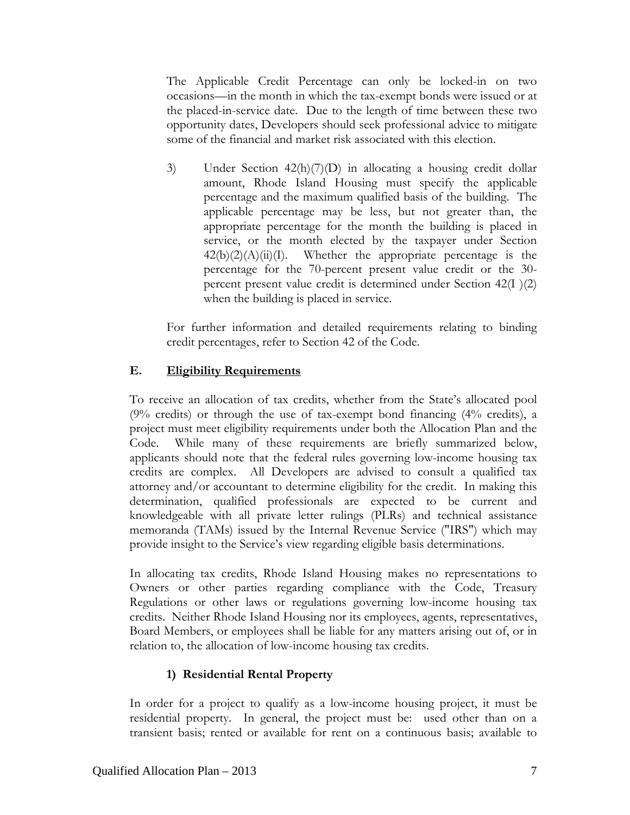The Applicable Credit Percentage can only be locked-in on two occasions—in the month in which the tax-exempt bonds were issued or at the placed-in-service date. Due to the length of time between these two opportunity dates, Developers should seek professional advice to mitigate some of the financial and market risk associated with this election.

3) Under Section 42(h)(7)(D) in allocating a housing credit dollar amount, Rhode Island Housing must specify the applicable percentage and the maximum qualified basis of the building. The applicable percentage may be less, but not greater than, the appropriate percentage for the month the building is placed in service, or the month elected by the taxpayer under Section  $42(b)(2)(A)(ii)(I)$ . Whether the appropriate percentage is the percentage for the 70-percent present value credit or the 30 percent present value credit is determined under Section 42(I )(2) when the building is placed in service.

For further information and detailed requirements relating to binding credit percentages, refer to Section 42 of the Code.

## **E. Eligibility Requirements**

To receive an allocation of tax credits, whether from the State's allocated pool (9% credits) or through the use of tax-exempt bond financing (4% credits), a project must meet eligibility requirements under both the Allocation Plan and the Code. While many of these requirements are briefly summarized below, applicants should note that the federal rules governing low-income housing tax credits are complex. All Developers are advised to consult a qualified tax attorney and/or accountant to determine eligibility for the credit. In making this determination, qualified professionals are expected to be current and knowledgeable with all private letter rulings (PLRs) and technical assistance memoranda (TAMs) issued by the Internal Revenue Service ("IRS") which may provide insight to the Service's view regarding eligible basis determinations.

In allocating tax credits, Rhode Island Housing makes no representations to Owners or other parties regarding compliance with the Code, Treasury Regulations or other laws or regulations governing low-income housing tax credits. Neither Rhode Island Housing nor its employees, agents, representatives, Board Members, or employees shall be liable for any matters arising out of, or in relation to, the allocation of low-income housing tax credits.

## **1) Residential Rental Property**

In order for a project to qualify as a low-income housing project, it must be residential property. In general, the project must be: used other than on a transient basis; rented or available for rent on a continuous basis; available to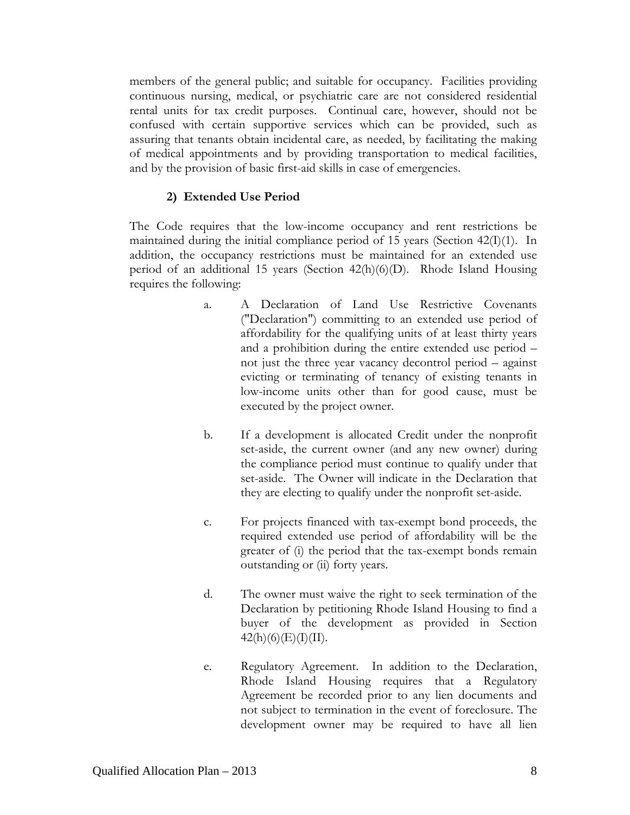members of the general public; and suitable for occupancy. Facilities providing continuous nursing, medical, or psychiatric care are not considered residential rental units for tax credit purposes. Continual care, however, should not be confused with certain supportive services which can be provided, such as assuring that tenants obtain incidental care, as needed, by facilitating the making of medical appointments and by providing transportation to medical facilities, and by the provision of basic first-aid skills in case of emergencies.

#### **2) Extended Use Period**

The Code requires that the low-income occupancy and rent restrictions be maintained during the initial compliance period of 15 years (Section  $42(I)(1)$ ). In addition, the occupancy restrictions must be maintained for an extended use period of an additional 15 years (Section 42(h)(6)(D). Rhode Island Housing requires the following:

- a. A Declaration of Land Use Restrictive Covenants ("Declaration") committing to an extended use period of affordability for the qualifying units of at least thirty years and a prohibition during the entire extended use period – not just the three year vacancy decontrol period – against evicting or terminating of tenancy of existing tenants in low-income units other than for good cause, must be executed by the project owner.
- b. If a development is allocated Credit under the nonprofit set-aside, the current owner (and any new owner) during the compliance period must continue to qualify under that set-aside. The Owner will indicate in the Declaration that they are electing to qualify under the nonprofit set-aside.
- c. For projects financed with tax-exempt bond proceeds, the required extended use period of affordability will be the greater of (i) the period that the tax-exempt bonds remain outstanding or (ii) forty years.
- d. The owner must waive the right to seek termination of the Declaration by petitioning Rhode Island Housing to find a buyer of the development as provided in Section  $42(h)(6)(E)(I)(II).$
- e. Regulatory Agreement. In addition to the Declaration, Rhode Island Housing requires that a Regulatory Agreement be recorded prior to any lien documents and not subject to termination in the event of foreclosure. The development owner may be required to have all lien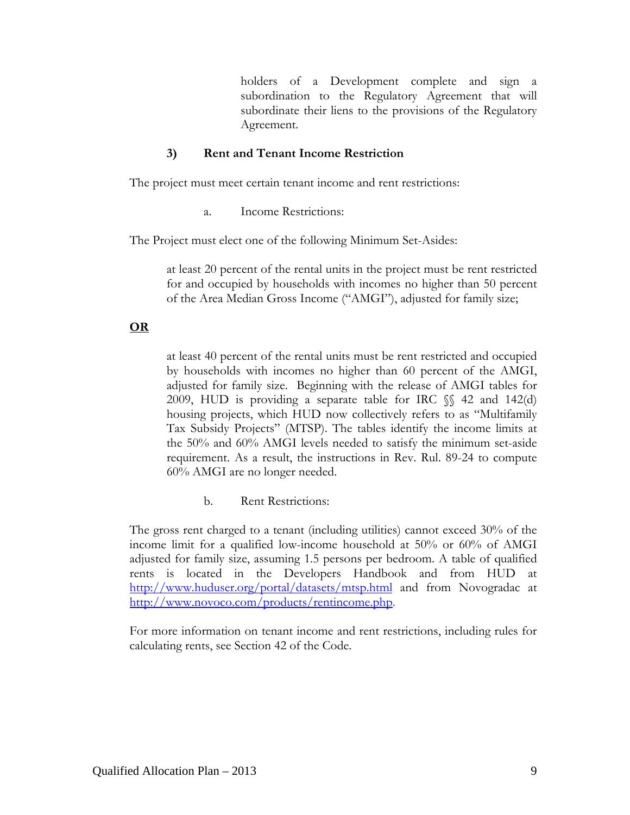holders of a Development complete and sign a subordination to the Regulatory Agreement that will subordinate their liens to the provisions of the Regulatory Agreement.

### **3) Rent and Tenant Income Restriction**

The project must meet certain tenant income and rent restrictions:

a. Income Restrictions:

The Project must elect one of the following Minimum Set-Asides:

at least 20 percent of the rental units in the project must be rent restricted for and occupied by households with incomes no higher than 50 percent of the Area Median Gross Income ("AMGI"), adjusted for family size;

## **OR**

at least 40 percent of the rental units must be rent restricted and occupied by households with incomes no higher than 60 percent of the AMGI, adjusted for family size. Beginning with the release of AMGI tables for 2009, HUD is providing a separate table for IRC  $\%$  42 and 142(d) housing projects, which HUD now collectively refers to as "Multifamily Tax Subsidy Projects" (MTSP). The tables identify the income limits at the 50% and 60% AMGI levels needed to satisfy the minimum set-aside requirement. As a result, the instructions in Rev. Rul. 89-24 to compute 60% AMGI are no longer needed.

b. Rent Restrictions:

The gross rent charged to a tenant (including utilities) cannot exceed 30% of the income limit for a qualified low-income household at 50% or 60% of AMGI adjusted for family size, assuming 1.5 persons per bedroom. A table of qualified rents is located in the Developers Handbook and from HUD at <http://www.huduser.org/portal/datasets/mtsp.html> and from Novogradac at [http://www.novoco.com/products/rentincome.php.](http://www.novoco.com/products/rentincome.php)

For more information on tenant income and rent restrictions, including rules for calculating rents, see Section 42 of the Code.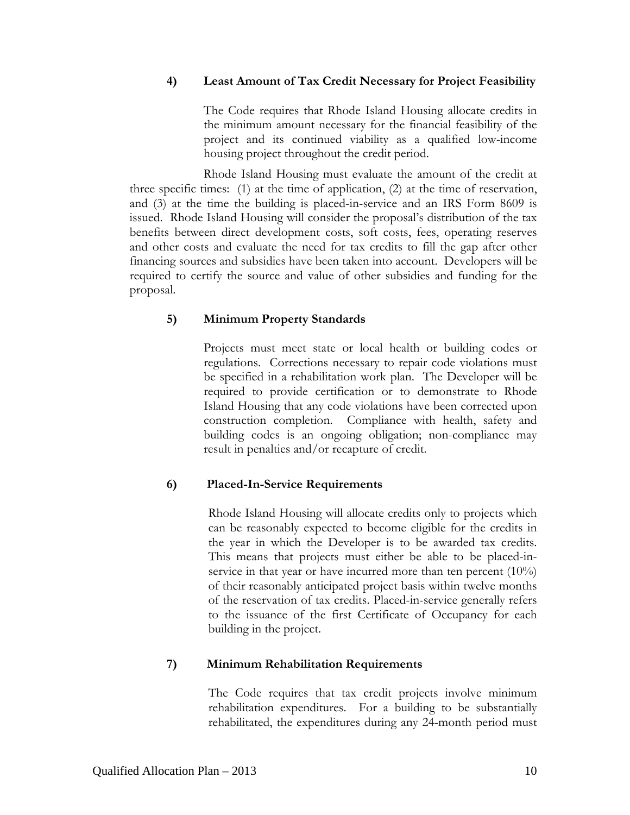#### **4) Least Amount of Tax Credit Necessary for Project Feasibility**

 The Code requires that Rhode Island Housing allocate credits in the minimum amount necessary for the financial feasibility of the project and its continued viability as a qualified low-income housing project throughout the credit period.

 Rhode Island Housing must evaluate the amount of the credit at three specific times: (1) at the time of application, (2) at the time of reservation, and (3) at the time the building is placed-in-service and an IRS Form 8609 is issued. Rhode Island Housing will consider the proposal's distribution of the tax benefits between direct development costs, soft costs, fees, operating reserves and other costs and evaluate the need for tax credits to fill the gap after other financing sources and subsidies have been taken into account. Developers will be required to certify the source and value of other subsidies and funding for the proposal.

### **5) Minimum Property Standards**

Projects must meet state or local health or building codes or regulations. Corrections necessary to repair code violations must be specified in a rehabilitation work plan. The Developer will be required to provide certification or to demonstrate to Rhode Island Housing that any code violations have been corrected upon construction completion. Compliance with health, safety and building codes is an ongoing obligation; non-compliance may result in penalties and/or recapture of credit.

### **6) Placed-In-Service Requirements**

Rhode Island Housing will allocate credits only to projects which can be reasonably expected to become eligible for the credits in the year in which the Developer is to be awarded tax credits. This means that projects must either be able to be placed-inservice in that year or have incurred more than ten percent (10%) of their reasonably anticipated project basis within twelve months of the reservation of tax credits. Placed-in-service generally refers to the issuance of the first Certificate of Occupancy for each building in the project.

### **7) Minimum Rehabilitation Requirements**

The Code requires that tax credit projects involve minimum rehabilitation expenditures. For a building to be substantially rehabilitated, the expenditures during any 24-month period must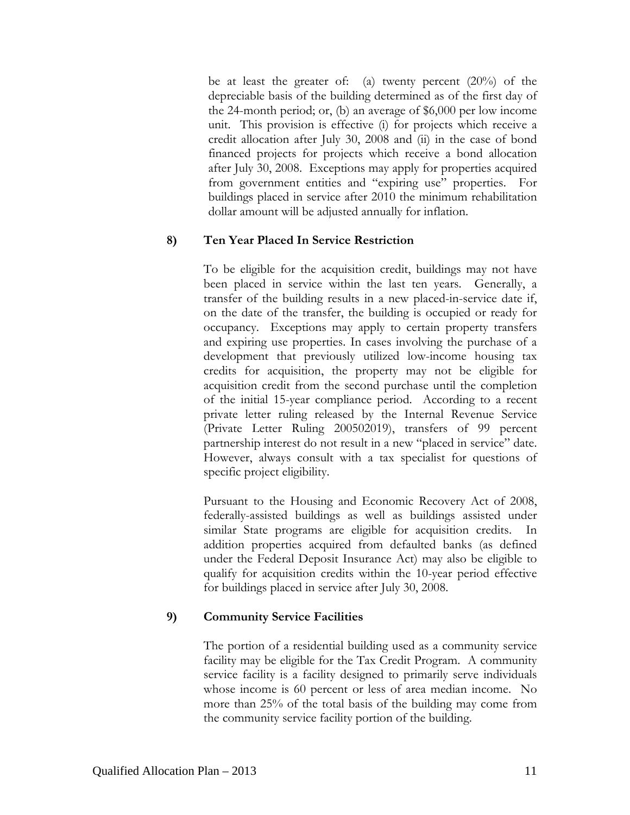be at least the greater of: (a) twenty percent (20%) of the depreciable basis of the building determined as of the first day of the 24-month period; or, (b) an average of \$6,000 per low income unit. This provision is effective (i) for projects which receive a credit allocation after July 30, 2008 and (ii) in the case of bond financed projects for projects which receive a bond allocation after July 30, 2008. Exceptions may apply for properties acquired from government entities and "expiring use" properties. For buildings placed in service after 2010 the minimum rehabilitation dollar amount will be adjusted annually for inflation.

#### **8) Ten Year Placed In Service Restriction**

To be eligible for the acquisition credit, buildings may not have been placed in service within the last ten years. Generally, a transfer of the building results in a new placed-in-service date if, on the date of the transfer, the building is occupied or ready for occupancy. Exceptions may apply to certain property transfers and expiring use properties. In cases involving the purchase of a development that previously utilized low-income housing tax credits for acquisition, the property may not be eligible for acquisition credit from the second purchase until the completion of the initial 15-year compliance period. According to a recent private letter ruling released by the Internal Revenue Service (Private Letter Ruling 200502019), transfers of 99 percent partnership interest do not result in a new "placed in service" date. However, always consult with a tax specialist for questions of specific project eligibility.

Pursuant to the Housing and Economic Recovery Act of 2008, federally-assisted buildings as well as buildings assisted under similar State programs are eligible for acquisition credits. In addition properties acquired from defaulted banks (as defined under the Federal Deposit Insurance Act) may also be eligible to qualify for acquisition credits within the 10-year period effective for buildings placed in service after July 30, 2008.

### **9) Community Service Facilities**

The portion of a residential building used as a community service facility may be eligible for the Tax Credit Program. A community service facility is a facility designed to primarily serve individuals whose income is 60 percent or less of area median income. No more than 25% of the total basis of the building may come from the community service facility portion of the building.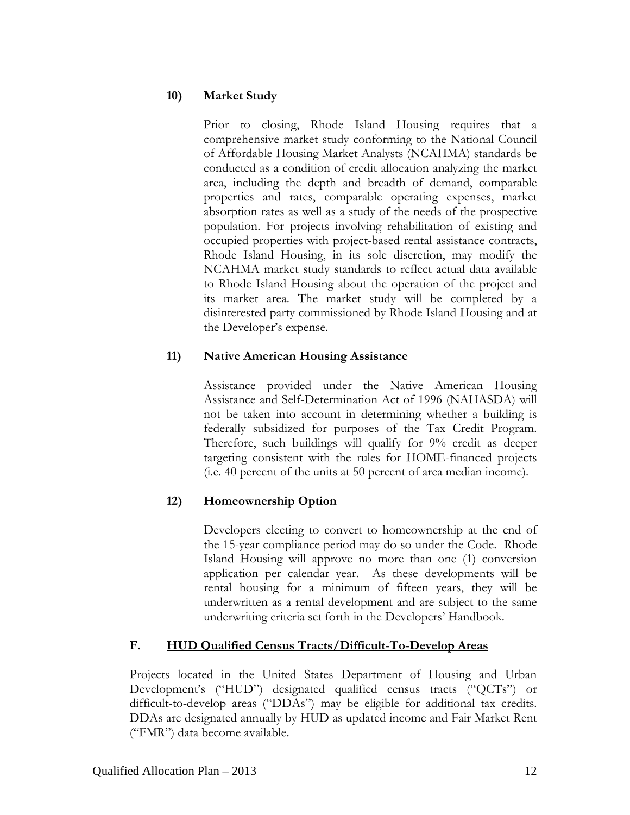## **10) Market Study**

Prior to closing, Rhode Island Housing requires that a comprehensive market study conforming to the National Council of Affordable Housing Market Analysts (NCAHMA) standards be conducted as a condition of credit allocation analyzing the market area, including the depth and breadth of demand, comparable properties and rates, comparable operating expenses, market absorption rates as well as a study of the needs of the prospective population. For projects involving rehabilitation of existing and occupied properties with project-based rental assistance contracts, Rhode Island Housing, in its sole discretion, may modify the NCAHMA market study standards to reflect actual data available to Rhode Island Housing about the operation of the project and its market area. The market study will be completed by a disinterested party commissioned by Rhode Island Housing and at the Developer's expense.

## **11) Native American Housing Assistance**

Assistance provided under the Native American Housing Assistance and Self-Determination Act of 1996 (NAHASDA) will not be taken into account in determining whether a building is federally subsidized for purposes of the Tax Credit Program. Therefore, such buildings will qualify for 9% credit as deeper targeting consistent with the rules for HOME-financed projects (i.e. 40 percent of the units at 50 percent of area median income).

## **12) Homeownership Option**

Developers electing to convert to homeownership at the end of the 15-year compliance period may do so under the Code. Rhode Island Housing will approve no more than one (1) conversion application per calendar year. As these developments will be rental housing for a minimum of fifteen years, they will be underwritten as a rental development and are subject to the same underwriting criteria set forth in the Developers' Handbook.

### **F. HUD Qualified Census Tracts/Difficult-To-Develop Areas**

Projects located in the United States Department of Housing and Urban Development's ("HUD") designated qualified census tracts ("QCTs") or difficult-to-develop areas ("DDAs") may be eligible for additional tax credits. DDAs are designated annually by HUD as updated income and Fair Market Rent ("FMR") data become available.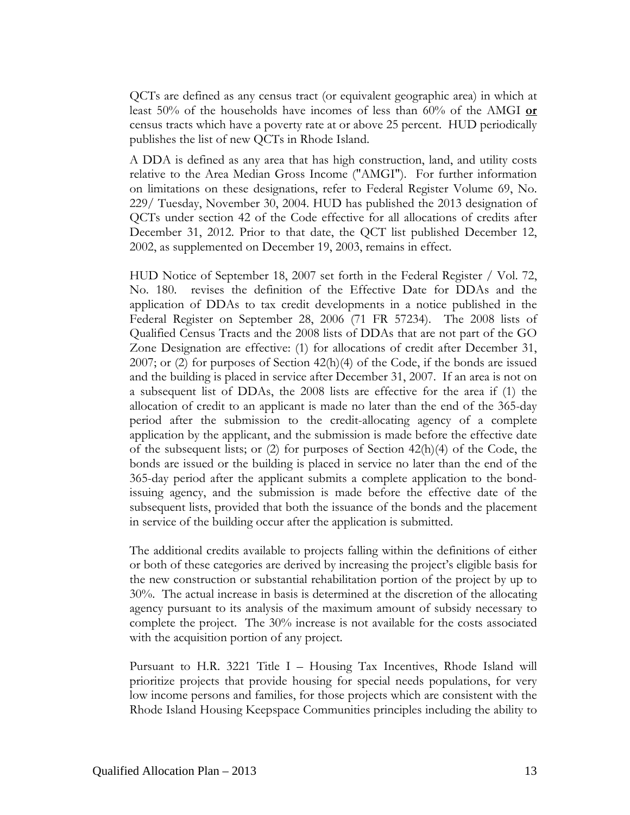QCTs are defined as any census tract (or equivalent geographic area) in which at least 50% of the households have incomes of less than 60% of the AMGI **or** census tracts which have a poverty rate at or above 25 percent. HUD periodically publishes the list of new QCTs in Rhode Island.

A DDA is defined as any area that has high construction, land, and utility costs relative to the Area Median Gross Income ("AMGI"). For further information on limitations on these designations, refer to Federal Register Volume 69, No. 229/ Tuesday, November 30, 2004. HUD has published the 2013 designation of QCTs under section 42 of the Code effective for all allocations of credits after December 31, 2012. Prior to that date, the QCT list published December 12, 2002, as supplemented on December 19, 2003, remains in effect.

HUD Notice of September 18, 2007 set forth in the Federal Register / Vol. 72, No. 180. revises the definition of the Effective Date for DDAs and the application of DDAs to tax credit developments in a notice published in the Federal Register on September 28, 2006 (71 FR 57234). The 2008 lists of Qualified Census Tracts and the 2008 lists of DDAs that are not part of the GO Zone Designation are effective: (1) for allocations of credit after December 31, 2007; or (2) for purposes of Section 42(h)(4) of the Code, if the bonds are issued and the building is placed in service after December 31, 2007. If an area is not on a subsequent list of DDAs, the 2008 lists are effective for the area if (1) the allocation of credit to an applicant is made no later than the end of the 365-day period after the submission to the credit-allocating agency of a complete application by the applicant, and the submission is made before the effective date of the subsequent lists; or (2) for purposes of Section 42(h)(4) of the Code, the bonds are issued or the building is placed in service no later than the end of the 365-day period after the applicant submits a complete application to the bondissuing agency, and the submission is made before the effective date of the subsequent lists, provided that both the issuance of the bonds and the placement in service of the building occur after the application is submitted.

The additional credits available to projects falling within the definitions of either or both of these categories are derived by increasing the project's eligible basis for the new construction or substantial rehabilitation portion of the project by up to 30%. The actual increase in basis is determined at the discretion of the allocating agency pursuant to its analysis of the maximum amount of subsidy necessary to complete the project. The 30% increase is not available for the costs associated with the acquisition portion of any project.

Pursuant to H.R. 3221 Title I – Housing Tax Incentives, Rhode Island will prioritize projects that provide housing for special needs populations, for very low income persons and families, for those projects which are consistent with the Rhode Island Housing Keepspace Communities principles including the ability to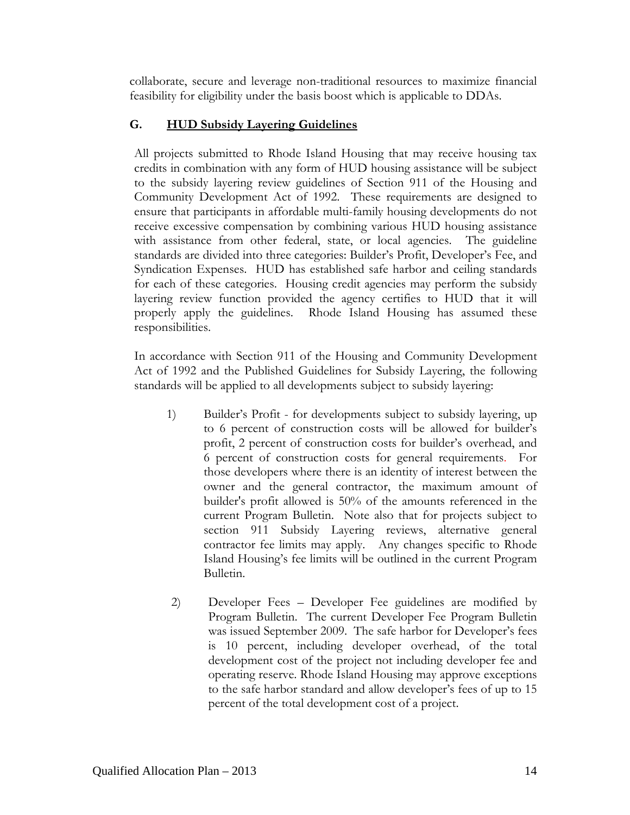collaborate, secure and leverage non-traditional resources to maximize financial feasibility for eligibility under the basis boost which is applicable to DDAs.

## **G. HUD Subsidy Layering Guidelines**

All projects submitted to Rhode Island Housing that may receive housing tax credits in combination with any form of HUD housing assistance will be subject to the subsidy layering review guidelines of Section 911 of the Housing and Community Development Act of 1992. These requirements are designed to ensure that participants in affordable multi-family housing developments do not receive excessive compensation by combining various HUD housing assistance with assistance from other federal, state, or local agencies. The guideline standards are divided into three categories: Builder's Profit, Developer's Fee, and Syndication Expenses. HUD has established safe harbor and ceiling standards for each of these categories. Housing credit agencies may perform the subsidy layering review function provided the agency certifies to HUD that it will properly apply the guidelines. Rhode Island Housing has assumed these responsibilities.

In accordance with Section 911 of the Housing and Community Development Act of 1992 and the Published Guidelines for Subsidy Layering, the following standards will be applied to all developments subject to subsidy layering:

- 1) Builder's Profit for developments subject to subsidy layering, up to 6 percent of construction costs will be allowed for builder's profit, 2 percent of construction costs for builder's overhead, and 6 percent of construction costs for general requirements. For those developers where there is an identity of interest between the owner and the general contractor, the maximum amount of builder's profit allowed is 50% of the amounts referenced in the current Program Bulletin. Note also that for projects subject to section 911 Subsidy Layering reviews, alternative general contractor fee limits may apply. Any changes specific to Rhode Island Housing's fee limits will be outlined in the current Program Bulletin.
- 2) Developer Fees Developer Fee guidelines are modified by Program Bulletin. The current Developer Fee Program Bulletin was issued September 2009. The safe harbor for Developer's fees is 10 percent, including developer overhead, of the total development cost of the project not including developer fee and operating reserve. Rhode Island Housing may approve exceptions to the safe harbor standard and allow developer's fees of up to 15 percent of the total development cost of a project.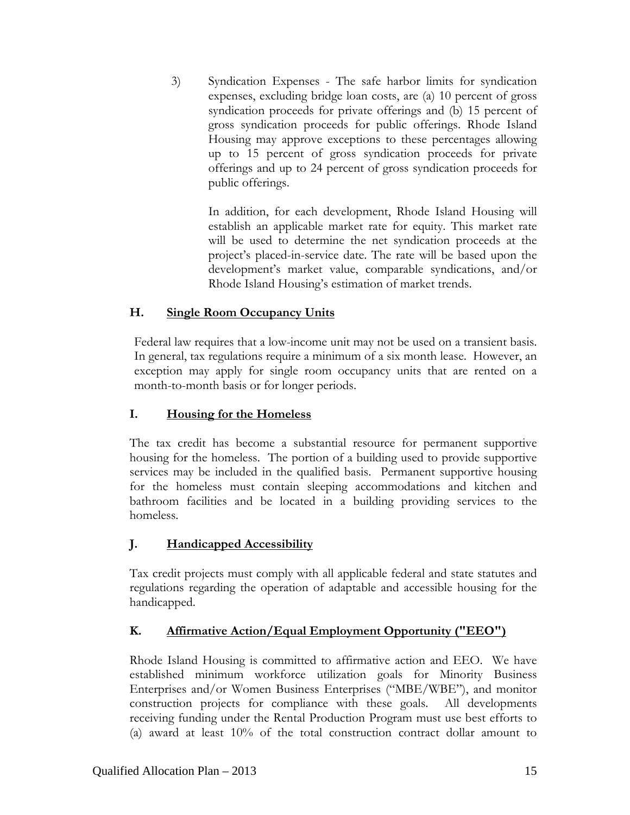3) Syndication Expenses - The safe harbor limits for syndication expenses, excluding bridge loan costs, are (a) 10 percent of gross syndication proceeds for private offerings and (b) 15 percent of gross syndication proceeds for public offerings. Rhode Island Housing may approve exceptions to these percentages allowing up to 15 percent of gross syndication proceeds for private offerings and up to 24 percent of gross syndication proceeds for public offerings.

> In addition, for each development, Rhode Island Housing will establish an applicable market rate for equity. This market rate will be used to determine the net syndication proceeds at the project's placed-in-service date. The rate will be based upon the development's market value, comparable syndications, and/or Rhode Island Housing's estimation of market trends.

## **H. Single Room Occupancy Units**

Federal law requires that a low-income unit may not be used on a transient basis. In general, tax regulations require a minimum of a six month lease. However, an exception may apply for single room occupancy units that are rented on a month-to-month basis or for longer periods.

# **I. Housing for the Homeless**

The tax credit has become a substantial resource for permanent supportive housing for the homeless. The portion of a building used to provide supportive services may be included in the qualified basis. Permanent supportive housing for the homeless must contain sleeping accommodations and kitchen and bathroom facilities and be located in a building providing services to the homeless.

# **J. Handicapped Accessibility**

Tax credit projects must comply with all applicable federal and state statutes and regulations regarding the operation of adaptable and accessible housing for the handicapped.

# **K. Affirmative Action/Equal Employment Opportunity ("EEO")**

Rhode Island Housing is committed to affirmative action and EEO. We have established minimum workforce utilization goals for Minority Business Enterprises and/or Women Business Enterprises ("MBE/WBE"), and monitor construction projects for compliance with these goals. All developments receiving funding under the Rental Production Program must use best efforts to (a) award at least 10% of the total construction contract dollar amount to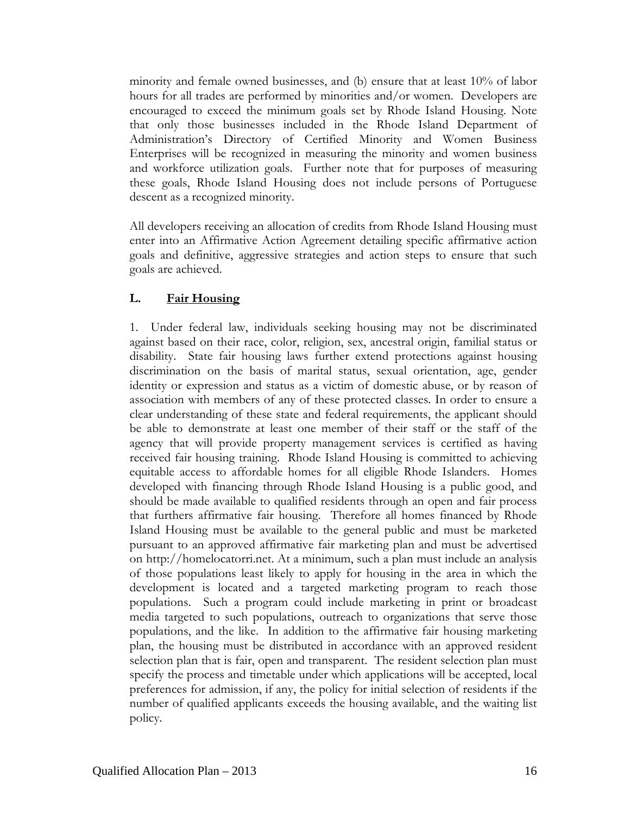minority and female owned businesses, and (b) ensure that at least 10% of labor hours for all trades are performed by minorities and/or women. Developers are encouraged to exceed the minimum goals set by Rhode Island Housing. Note that only those businesses included in the Rhode Island Department of Administration's Directory of Certified Minority and Women Business Enterprises will be recognized in measuring the minority and women business and workforce utilization goals. Further note that for purposes of measuring these goals, Rhode Island Housing does not include persons of Portuguese descent as a recognized minority.

All developers receiving an allocation of credits from Rhode Island Housing must enter into an Affirmative Action Agreement detailing specific affirmative action goals and definitive, aggressive strategies and action steps to ensure that such goals are achieved.

## **L. Fair Housing**

1. Under federal law, individuals seeking housing may not be discriminated against based on their race, color, religion, sex, ancestral origin, familial status or disability. State fair housing laws further extend protections against housing discrimination on the basis of marital status, sexual orientation, age, gender identity or expression and status as a victim of domestic abuse, or by reason of association with members of any of these protected classes. In order to ensure a clear understanding of these state and federal requirements, the applicant should be able to demonstrate at least one member of their staff or the staff of the agency that will provide property management services is certified as having received fair housing training. Rhode Island Housing is committed to achieving equitable access to affordable homes for all eligible Rhode Islanders. Homes developed with financing through Rhode Island Housing is a public good, and should be made available to qualified residents through an open and fair process that furthers affirmative fair housing. Therefore all homes financed by Rhode Island Housing must be available to the general public and must be marketed pursuant to an approved affirmative fair marketing plan and must be advertised on http://homelocatorri.net. At a minimum, such a plan must include an analysis of those populations least likely to apply for housing in the area in which the development is located and a targeted marketing program to reach those populations. Such a program could include marketing in print or broadcast media targeted to such populations, outreach to organizations that serve those populations, and the like. In addition to the affirmative fair housing marketing plan, the housing must be distributed in accordance with an approved resident selection plan that is fair, open and transparent. The resident selection plan must specify the process and timetable under which applications will be accepted, local preferences for admission, if any, the policy for initial selection of residents if the number of qualified applicants exceeds the housing available, and the waiting list policy.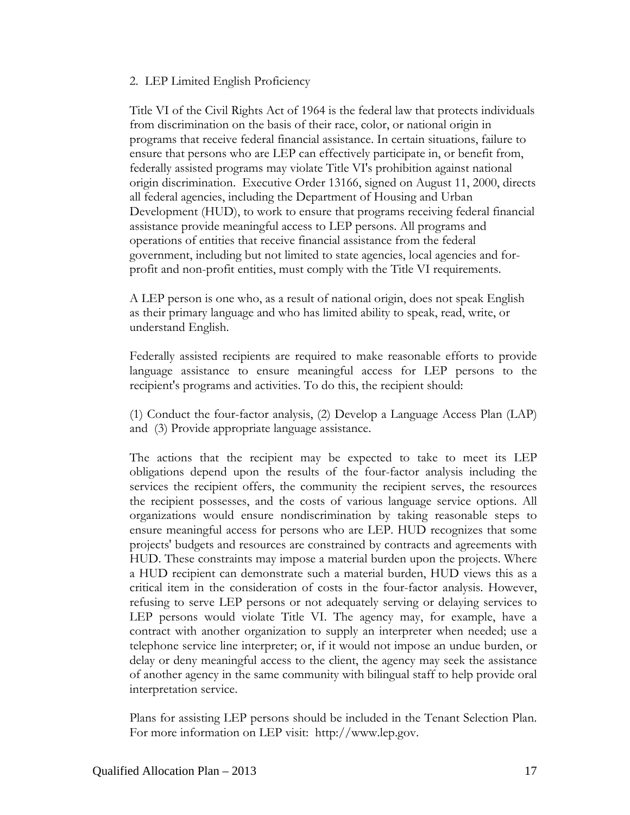#### 2. LEP Limited English Proficiency

Title VI of the Civil Rights Act of 1964 is the federal law that protects individuals from discrimination on the basis of their race, color, or national origin in programs that receive federal financial assistance. In certain situations, failure to ensure that persons who are LEP can effectively participate in, or benefit from, federally assisted programs may violate Title VI's prohibition against national origin discrimination. Executive Order 13166, signed on August 11, 2000, directs all federal agencies, including the Department of Housing and Urban Development (HUD), to work to ensure that programs receiving federal financial assistance provide meaningful access to LEP persons. All programs and operations of entities that receive financial assistance from the federal government, including but not limited to state agencies, local agencies and forprofit and non-profit entities, must comply with the Title VI requirements.

A LEP person is one who, as a result of national origin, does not speak English as their primary language and who has limited ability to speak, read, write, or understand English.

Federally assisted recipients are required to make reasonable efforts to provide language assistance to ensure meaningful access for LEP persons to the recipient's programs and activities. To do this, the recipient should:

(1) Conduct the four-factor analysis, (2) Develop a Language Access Plan (LAP) and (3) Provide appropriate language assistance.

The actions that the recipient may be expected to take to meet its LEP obligations depend upon the results of the four-factor analysis including the services the recipient offers, the community the recipient serves, the resources the recipient possesses, and the costs of various language service options. All organizations would ensure nondiscrimination by taking reasonable steps to ensure meaningful access for persons who are LEP. HUD recognizes that some projects' budgets and resources are constrained by contracts and agreements with HUD. These constraints may impose a material burden upon the projects. Where a HUD recipient can demonstrate such a material burden, HUD views this as a critical item in the consideration of costs in the four-factor analysis. However, refusing to serve LEP persons or not adequately serving or delaying services to LEP persons would violate Title VI. The agency may, for example, have a contract with another organization to supply an interpreter when needed; use a telephone service line interpreter; or, if it would not impose an undue burden, or delay or deny meaningful access to the client, the agency may seek the assistance of another agency in the same community with bilingual staff to help provide oral interpretation service.

Plans for assisting LEP persons should be included in the Tenant Selection Plan. For more information on LEP visit: http://www.lep.gov.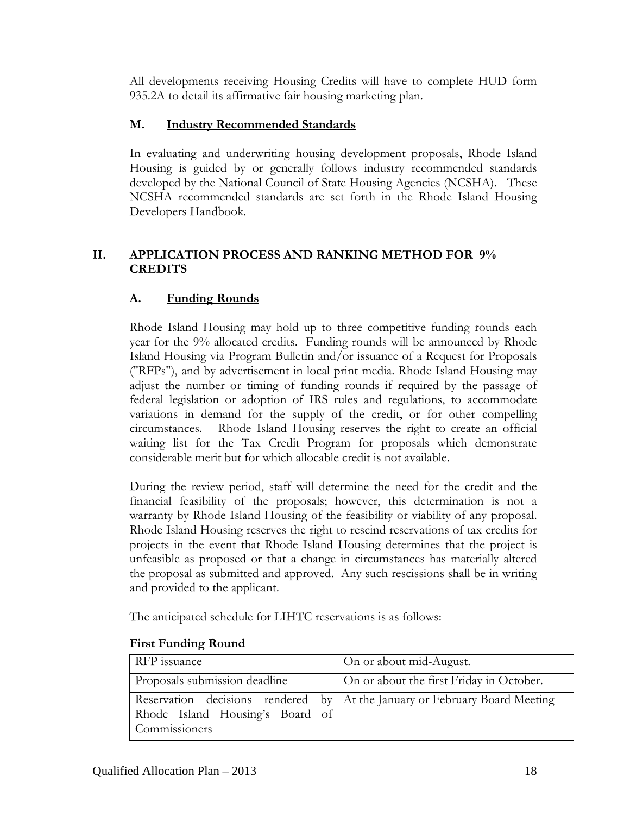All developments receiving Housing Credits will have to complete HUD form 935.2A to detail its affirmative fair housing marketing plan.

## **M. Industry Recommended Standards**

In evaluating and underwriting housing development proposals, Rhode Island Housing is guided by or generally follows industry recommended standards developed by the National Council of State Housing Agencies (NCSHA). These NCSHA recommended standards are set forth in the Rhode Island Housing Developers Handbook.

## **II. APPLICATION PROCESS AND RANKING METHOD FOR 9% CREDITS**

## **A. Funding Rounds**

Rhode Island Housing may hold up to three competitive funding rounds each year for the 9% allocated credits. Funding rounds will be announced by Rhode Island Housing via Program Bulletin and/or issuance of a Request for Proposals ("RFPs"), and by advertisement in local print media. Rhode Island Housing may adjust the number or timing of funding rounds if required by the passage of federal legislation or adoption of IRS rules and regulations, to accommodate variations in demand for the supply of the credit, or for other compelling circumstances. Rhode Island Housing reserves the right to create an official waiting list for the Tax Credit Program for proposals which demonstrate considerable merit but for which allocable credit is not available.

During the review period, staff will determine the need for the credit and the financial feasibility of the proposals; however, this determination is not a warranty by Rhode Island Housing of the feasibility or viability of any proposal. Rhode Island Housing reserves the right to rescind reservations of tax credits for projects in the event that Rhode Island Housing determines that the project is unfeasible as proposed or that a change in circumstances has materially altered the proposal as submitted and approved. Any such rescissions shall be in writing and provided to the applicant.

The anticipated schedule for LIHTC reservations is as follows:

| RFP issuance                                     | On or about mid-August.                                                    |
|--------------------------------------------------|----------------------------------------------------------------------------|
| Proposals submission deadline                    | On or about the first Friday in October.                                   |
| Rhode Island Housing's Board of<br>Commissioners | Reservation decisions rendered by At the January or February Board Meeting |

### **First Funding Round**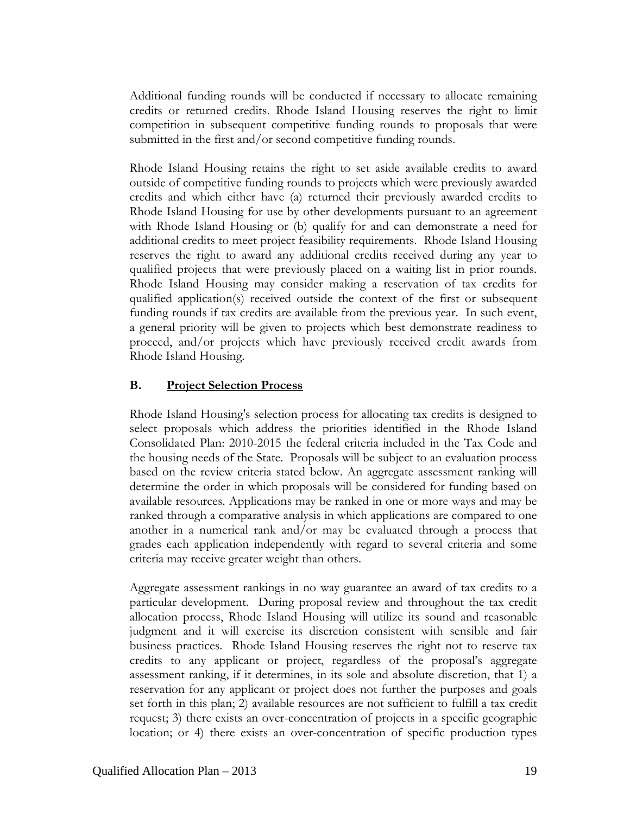Additional funding rounds will be conducted if necessary to allocate remaining credits or returned credits. Rhode Island Housing reserves the right to limit competition in subsequent competitive funding rounds to proposals that were submitted in the first and/or second competitive funding rounds.

Rhode Island Housing retains the right to set aside available credits to award outside of competitive funding rounds to projects which were previously awarded credits and which either have (a) returned their previously awarded credits to Rhode Island Housing for use by other developments pursuant to an agreement with Rhode Island Housing or (b) qualify for and can demonstrate a need for additional credits to meet project feasibility requirements. Rhode Island Housing reserves the right to award any additional credits received during any year to qualified projects that were previously placed on a waiting list in prior rounds. Rhode Island Housing may consider making a reservation of tax credits for qualified application(s) received outside the context of the first or subsequent funding rounds if tax credits are available from the previous year. In such event, a general priority will be given to projects which best demonstrate readiness to proceed, and/or projects which have previously received credit awards from Rhode Island Housing.

### **B. Project Selection Process**

Rhode Island Housing's selection process for allocating tax credits is designed to select proposals which address the priorities identified in the Rhode Island Consolidated Plan: 2010-2015 the federal criteria included in the Tax Code and the housing needs of the State. Proposals will be subject to an evaluation process based on the review criteria stated below. An aggregate assessment ranking will determine the order in which proposals will be considered for funding based on available resources. Applications may be ranked in one or more ways and may be ranked through a comparative analysis in which applications are compared to one another in a numerical rank and/or may be evaluated through a process that grades each application independently with regard to several criteria and some criteria may receive greater weight than others.

Aggregate assessment rankings in no way guarantee an award of tax credits to a particular development. During proposal review and throughout the tax credit allocation process, Rhode Island Housing will utilize its sound and reasonable judgment and it will exercise its discretion consistent with sensible and fair business practices. Rhode Island Housing reserves the right not to reserve tax credits to any applicant or project, regardless of the proposal's aggregate assessment ranking, if it determines, in its sole and absolute discretion, that 1) a reservation for any applicant or project does not further the purposes and goals set forth in this plan; 2) available resources are not sufficient to fulfill a tax credit request; 3) there exists an over-concentration of projects in a specific geographic location; or 4) there exists an over-concentration of specific production types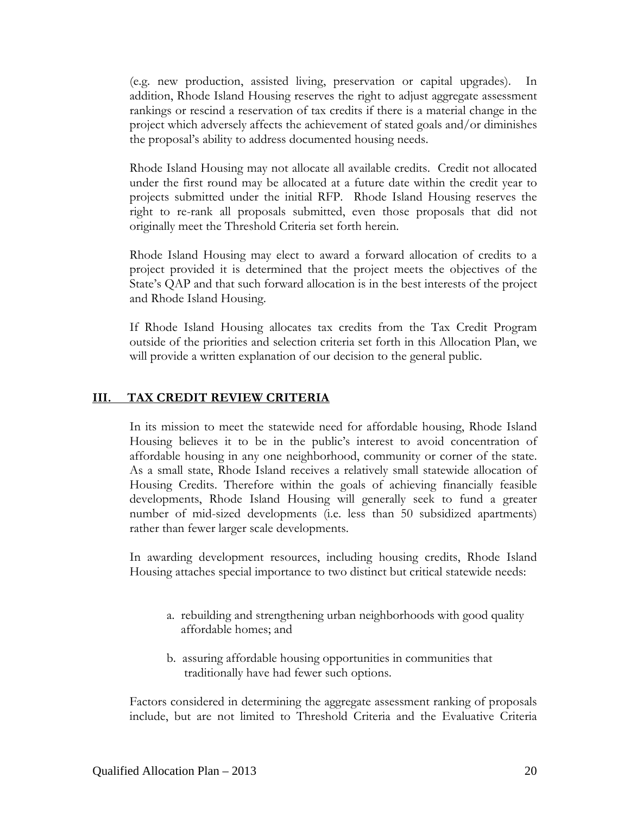(e.g. new production, assisted living, preservation or capital upgrades). In addition, Rhode Island Housing reserves the right to adjust aggregate assessment rankings or rescind a reservation of tax credits if there is a material change in the project which adversely affects the achievement of stated goals and/or diminishes the proposal's ability to address documented housing needs.

Rhode Island Housing may not allocate all available credits. Credit not allocated under the first round may be allocated at a future date within the credit year to projects submitted under the initial RFP. Rhode Island Housing reserves the right to re-rank all proposals submitted, even those proposals that did not originally meet the Threshold Criteria set forth herein.

Rhode Island Housing may elect to award a forward allocation of credits to a project provided it is determined that the project meets the objectives of the State's QAP and that such forward allocation is in the best interests of the project and Rhode Island Housing.

If Rhode Island Housing allocates tax credits from the Tax Credit Program outside of the priorities and selection criteria set forth in this Allocation Plan, we will provide a written explanation of our decision to the general public.

#### **III. TAX CREDIT REVIEW CRITERIA**

In its mission to meet the statewide need for affordable housing, Rhode Island Housing believes it to be in the public's interest to avoid concentration of affordable housing in any one neighborhood, community or corner of the state. As a small state, Rhode Island receives a relatively small statewide allocation of Housing Credits. Therefore within the goals of achieving financially feasible developments, Rhode Island Housing will generally seek to fund a greater number of mid-sized developments (i.e. less than 50 subsidized apartments) rather than fewer larger scale developments.

In awarding development resources, including housing credits, Rhode Island Housing attaches special importance to two distinct but critical statewide needs:

- a. rebuilding and strengthening urban neighborhoods with good quality affordable homes; and
- b. assuring affordable housing opportunities in communities that traditionally have had fewer such options.

Factors considered in determining the aggregate assessment ranking of proposals include, but are not limited to Threshold Criteria and the Evaluative Criteria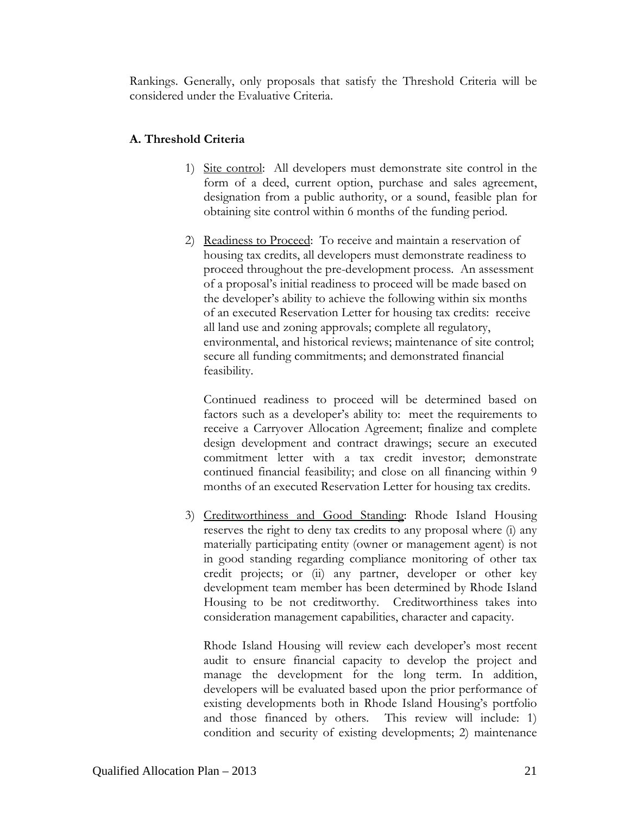Rankings. Generally, only proposals that satisfy the Threshold Criteria will be considered under the Evaluative Criteria.

## **A. Threshold Criteria**

- 1) Site control: All developers must demonstrate site control in the form of a deed, current option, purchase and sales agreement, designation from a public authority, or a sound, feasible plan for obtaining site control within 6 months of the funding period.
- 2) Readiness to Proceed: To receive and maintain a reservation of housing tax credits, all developers must demonstrate readiness to proceed throughout the pre-development process. An assessment of a proposal's initial readiness to proceed will be made based on the developer's ability to achieve the following within six months of an executed Reservation Letter for housing tax credits: receive all land use and zoning approvals; complete all regulatory, environmental, and historical reviews; maintenance of site control; secure all funding commitments; and demonstrated financial feasibility.

Continued readiness to proceed will be determined based on factors such as a developer's ability to: meet the requirements to receive a Carryover Allocation Agreement; finalize and complete design development and contract drawings; secure an executed commitment letter with a tax credit investor; demonstrate continued financial feasibility; and close on all financing within 9 months of an executed Reservation Letter for housing tax credits.

3) Creditworthiness and Good Standing: Rhode Island Housing reserves the right to deny tax credits to any proposal where (i) any materially participating entity (owner or management agent) is not in good standing regarding compliance monitoring of other tax credit projects; or (ii) any partner, developer or other key development team member has been determined by Rhode Island Housing to be not creditworthy. Creditworthiness takes into consideration management capabilities, character and capacity.

Rhode Island Housing will review each developer's most recent audit to ensure financial capacity to develop the project and manage the development for the long term. In addition, developers will be evaluated based upon the prior performance of existing developments both in Rhode Island Housing's portfolio and those financed by others. This review will include: 1) condition and security of existing developments; 2) maintenance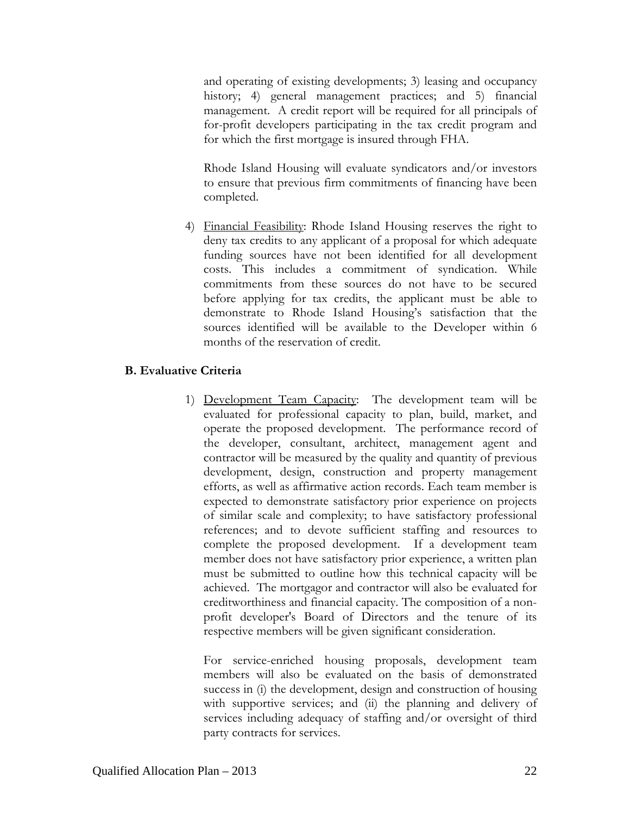and operating of existing developments; 3) leasing and occupancy history; 4) general management practices; and 5) financial management. A credit report will be required for all principals of for-profit developers participating in the tax credit program and for which the first mortgage is insured through FHA.

Rhode Island Housing will evaluate syndicators and/or investors to ensure that previous firm commitments of financing have been completed.

4) Financial Feasibility: Rhode Island Housing reserves the right to deny tax credits to any applicant of a proposal for which adequate funding sources have not been identified for all development costs. This includes a commitment of syndication. While commitments from these sources do not have to be secured before applying for tax credits, the applicant must be able to demonstrate to Rhode Island Housing's satisfaction that the sources identified will be available to the Developer within 6 months of the reservation of credit.

## **B. Evaluative Criteria**

1) Development Team Capacity: The development team will be evaluated for professional capacity to plan, build, market, and operate the proposed development. The performance record of the developer, consultant, architect, management agent and contractor will be measured by the quality and quantity of previous development, design, construction and property management efforts, as well as affirmative action records. Each team member is expected to demonstrate satisfactory prior experience on projects of similar scale and complexity; to have satisfactory professional references; and to devote sufficient staffing and resources to complete the proposed development. If a development team member does not have satisfactory prior experience, a written plan must be submitted to outline how this technical capacity will be achieved. The mortgagor and contractor will also be evaluated for creditworthiness and financial capacity. The composition of a nonprofit developer's Board of Directors and the tenure of its respective members will be given significant consideration.

For service-enriched housing proposals, development team members will also be evaluated on the basis of demonstrated success in (i) the development, design and construction of housing with supportive services; and (ii) the planning and delivery of services including adequacy of staffing and/or oversight of third party contracts for services.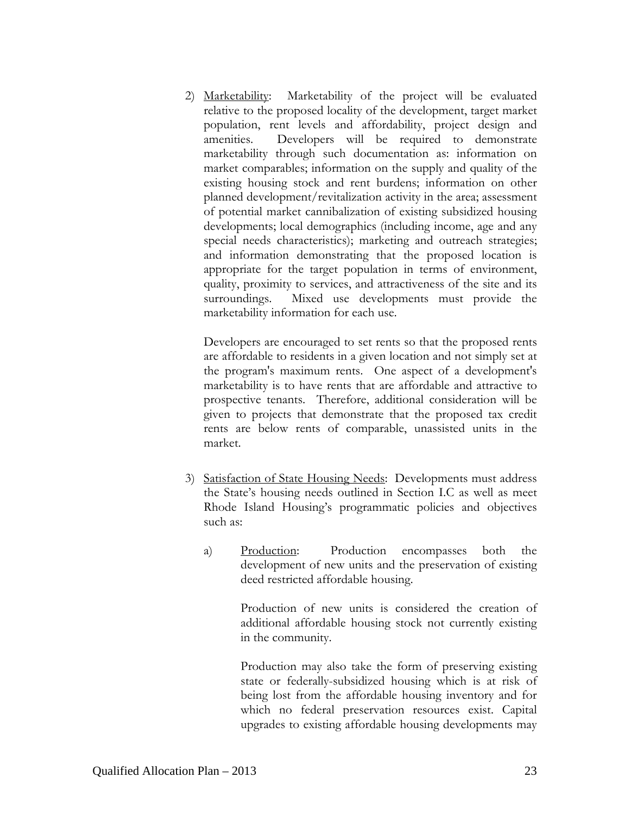2) Marketability: Marketability of the project will be evaluated relative to the proposed locality of the development, target market population, rent levels and affordability, project design and amenities. Developers will be required to demonstrate marketability through such documentation as: information on market comparables; information on the supply and quality of the existing housing stock and rent burdens; information on other planned development/revitalization activity in the area; assessment of potential market cannibalization of existing subsidized housing developments; local demographics (including income, age and any special needs characteristics); marketing and outreach strategies; and information demonstrating that the proposed location is appropriate for the target population in terms of environment, quality, proximity to services, and attractiveness of the site and its surroundings. Mixed use developments must provide the marketability information for each use.

Developers are encouraged to set rents so that the proposed rents are affordable to residents in a given location and not simply set at the program's maximum rents. One aspect of a development's marketability is to have rents that are affordable and attractive to prospective tenants. Therefore, additional consideration will be given to projects that demonstrate that the proposed tax credit rents are below rents of comparable, unassisted units in the market.

- 3) Satisfaction of State Housing Needs: Developments must address the State's housing needs outlined in Section I.C as well as meet Rhode Island Housing's programmatic policies and objectives such as:
	- a) Production: Production encompasses both the development of new units and the preservation of existing deed restricted affordable housing.

Production of new units is considered the creation of additional affordable housing stock not currently existing in the community.

Production may also take the form of preserving existing state or federally-subsidized housing which is at risk of being lost from the affordable housing inventory and for which no federal preservation resources exist. Capital upgrades to existing affordable housing developments may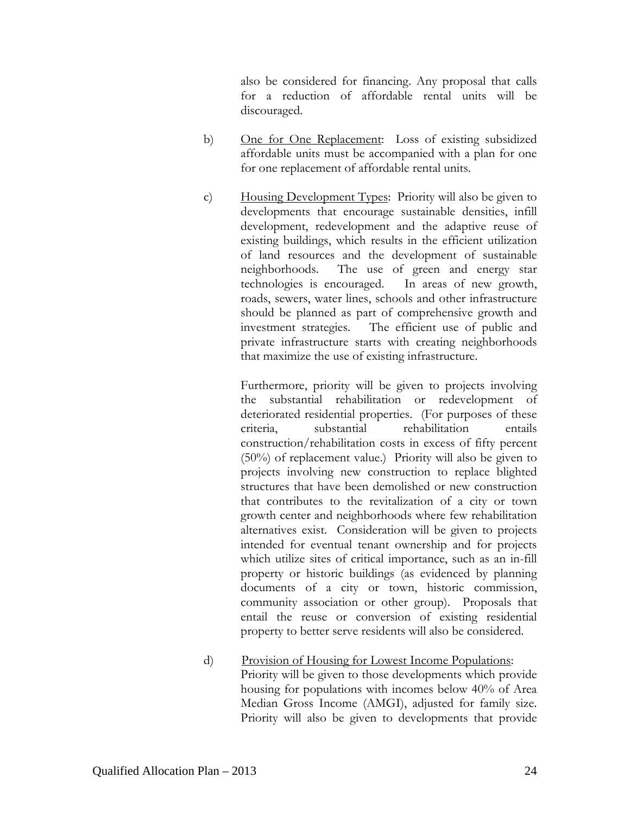also be considered for financing. Any proposal that calls for a reduction of affordable rental units will be discouraged.

- b) One for One Replacement: Loss of existing subsidized affordable units must be accompanied with a plan for one for one replacement of affordable rental units.
- c) Housing Development Types: Priority will also be given to developments that encourage sustainable densities, infill development, redevelopment and the adaptive reuse of existing buildings, which results in the efficient utilization of land resources and the development of sustainable neighborhoods. The use of green and energy star technologies is encouraged. In areas of new growth, roads, sewers, water lines, schools and other infrastructure should be planned as part of comprehensive growth and investment strategies. The efficient use of public and private infrastructure starts with creating neighborhoods that maximize the use of existing infrastructure.

 Furthermore, priority will be given to projects involving the substantial rehabilitation or redevelopment of deteriorated residential properties. (For purposes of these criteria, substantial rehabilitation entails construction/rehabilitation costs in excess of fifty percent (50%) of replacement value.) Priority will also be given to projects involving new construction to replace blighted structures that have been demolished or new construction that contributes to the revitalization of a city or town growth center and neighborhoods where few rehabilitation alternatives exist. Consideration will be given to projects intended for eventual tenant ownership and for projects which utilize sites of critical importance, such as an in-fill property or historic buildings (as evidenced by planning documents of a city or town, historic commission, community association or other group). Proposals that entail the reuse or conversion of existing residential property to better serve residents will also be considered.

d) Provision of Housing for Lowest Income Populations: Priority will be given to those developments which provide housing for populations with incomes below 40% of Area Median Gross Income (AMGI), adjusted for family size. Priority will also be given to developments that provide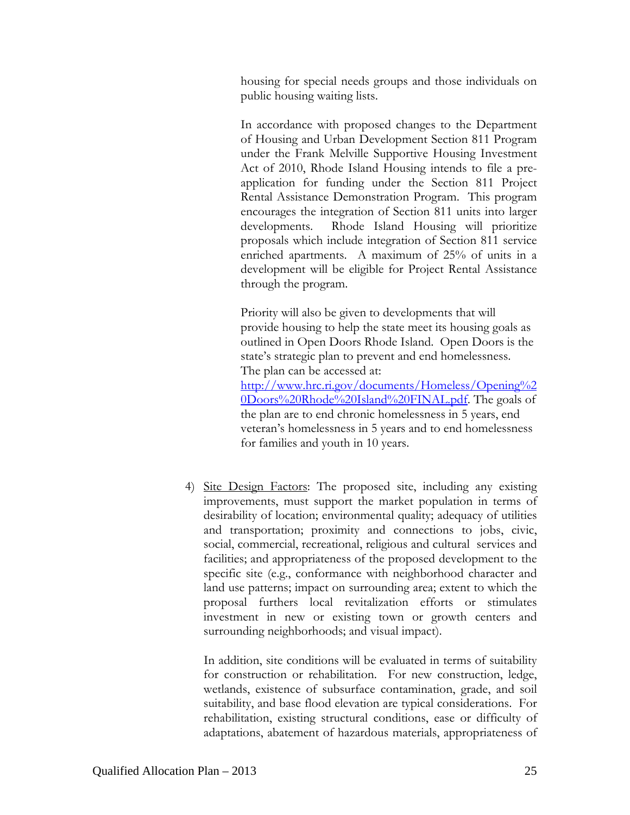housing for special needs groups and those individuals on public housing waiting lists.

In accordance with proposed changes to the Department of Housing and Urban Development Section 811 Program under the Frank Melville Supportive Housing Investment Act of 2010, Rhode Island Housing intends to file a preapplication for funding under the Section 811 Project Rental Assistance Demonstration Program. This program encourages the integration of Section 811 units into larger developments. Rhode Island Housing will prioritize proposals which include integration of Section 811 service enriched apartments. A maximum of 25% of units in a development will be eligible for Project Rental Assistance through the program.

Priority will also be given to developments that will provide housing to help the state meet its housing goals as outlined in Open Doors Rhode Island. Open Doors is the state's strategic plan to prevent and end homelessness. The plan can be accessed at: [http://www.hrc.ri.gov/documents/Homeless/Opening%2](http://www.hrc.ri.gov/documents/Homeless/Opening%20Doors%20Rhode%20Island%20FINAL.pdf) [0Doors%20Rhode%20Island%20FINAL.pdf.](http://www.hrc.ri.gov/documents/Homeless/Opening%20Doors%20Rhode%20Island%20FINAL.pdf) The goals of the plan are to end chronic homelessness in 5 years, end veteran's homelessness in 5 years and to end homelessness for families and youth in 10 years.

4) Site Design Factors: The proposed site, including any existing improvements, must support the market population in terms of desirability of location; environmental quality; adequacy of utilities and transportation; proximity and connections to jobs, civic, social, commercial, recreational, religious and cultural services and facilities; and appropriateness of the proposed development to the specific site (e.g., conformance with neighborhood character and land use patterns; impact on surrounding area; extent to which the proposal furthers local revitalization efforts or stimulates investment in new or existing town or growth centers and surrounding neighborhoods; and visual impact).

 In addition, site conditions will be evaluated in terms of suitability for construction or rehabilitation. For new construction, ledge, wetlands, existence of subsurface contamination, grade, and soil suitability, and base flood elevation are typical considerations. For rehabilitation, existing structural conditions, ease or difficulty of adaptations, abatement of hazardous materials, appropriateness of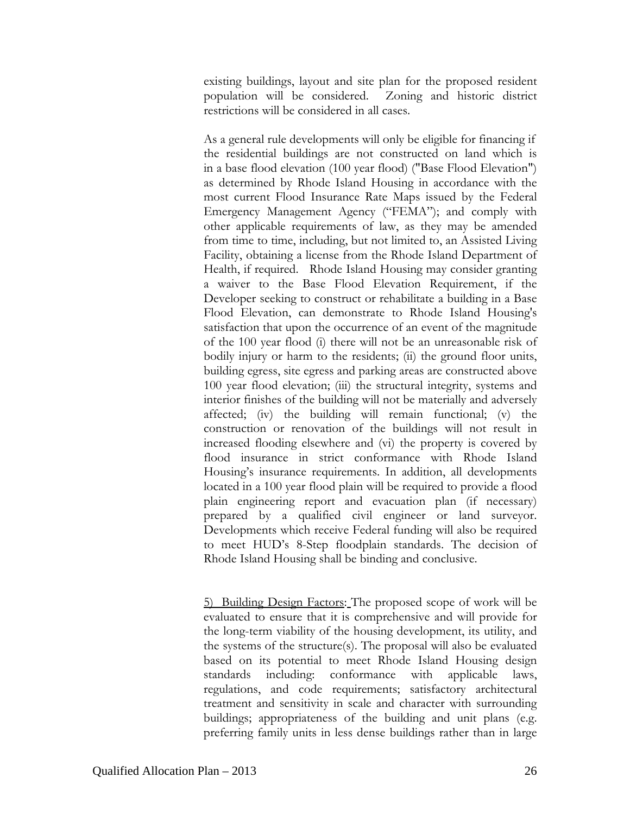existing buildings, layout and site plan for the proposed resident population will be considered. Zoning and historic district restrictions will be considered in all cases.

As a general rule developments will only be eligible for financing if the residential buildings are not constructed on land which is in a base flood elevation (100 year flood) ("Base Flood Elevation") as determined by Rhode Island Housing in accordance with the most current Flood Insurance Rate Maps issued by the Federal Emergency Management Agency ("FEMA"); and comply with other applicable requirements of law, as they may be amended from time to time, including, but not limited to, an Assisted Living Facility, obtaining a license from the Rhode Island Department of Health, if required. Rhode Island Housing may consider granting a waiver to the Base Flood Elevation Requirement, if the Developer seeking to construct or rehabilitate a building in a Base Flood Elevation, can demonstrate to Rhode Island Housing's satisfaction that upon the occurrence of an event of the magnitude of the 100 year flood (i) there will not be an unreasonable risk of bodily injury or harm to the residents; (ii) the ground floor units, building egress, site egress and parking areas are constructed above 100 year flood elevation; (iii) the structural integrity, systems and interior finishes of the building will not be materially and adversely affected; (iv) the building will remain functional; (v) the construction or renovation of the buildings will not result in increased flooding elsewhere and (vi) the property is covered by flood insurance in strict conformance with Rhode Island Housing's insurance requirements. In addition, all developments located in a 100 year flood plain will be required to provide a flood plain engineering report and evacuation plan (if necessary) prepared by a qualified civil engineer or land surveyor. Developments which receive Federal funding will also be required to meet HUD's 8-Step floodplain standards. The decision of Rhode Island Housing shall be binding and conclusive.

5) Building Design Factors: The proposed scope of work will be evaluated to ensure that it is comprehensive and will provide for the long-term viability of the housing development, its utility, and the systems of the structure(s). The proposal will also be evaluated based on its potential to meet Rhode Island Housing design standards including: conformance with applicable laws, regulations, and code requirements; satisfactory architectural treatment and sensitivity in scale and character with surrounding buildings; appropriateness of the building and unit plans (e.g. preferring family units in less dense buildings rather than in large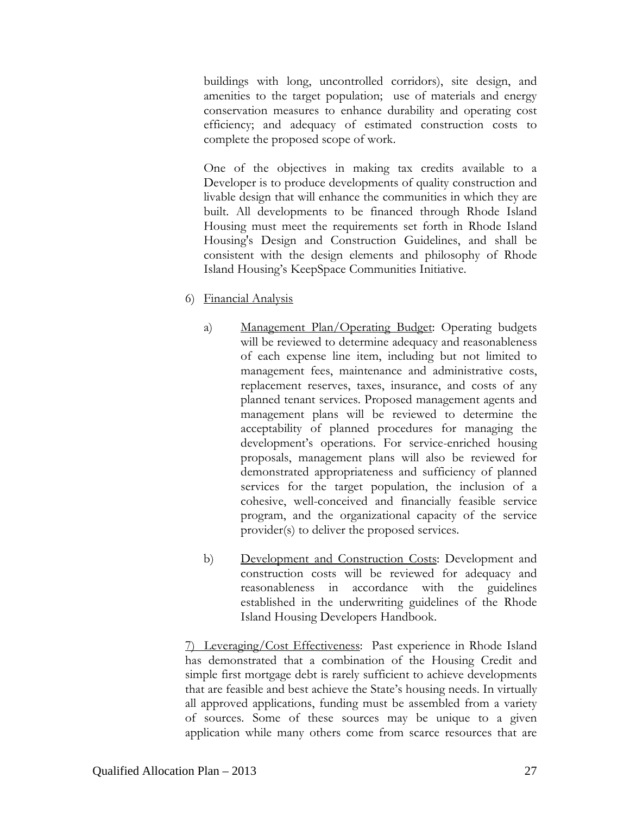buildings with long, uncontrolled corridors), site design, and amenities to the target population; use of materials and energy conservation measures to enhance durability and operating cost efficiency; and adequacy of estimated construction costs to complete the proposed scope of work.

One of the objectives in making tax credits available to a Developer is to produce developments of quality construction and livable design that will enhance the communities in which they are built. All developments to be financed through Rhode Island Housing must meet the requirements set forth in Rhode Island Housing's Design and Construction Guidelines, and shall be consistent with the design elements and philosophy of Rhode Island Housing's KeepSpace Communities Initiative.

- 6) Financial Analysis
	- a) Management Plan/Operating Budget: Operating budgets will be reviewed to determine adequacy and reasonableness of each expense line item, including but not limited to management fees, maintenance and administrative costs, replacement reserves, taxes, insurance, and costs of any planned tenant services. Proposed management agents and management plans will be reviewed to determine the acceptability of planned procedures for managing the development's operations. For service-enriched housing proposals, management plans will also be reviewed for demonstrated appropriateness and sufficiency of planned services for the target population, the inclusion of a cohesive, well-conceived and financially feasible service program, and the organizational capacity of the service provider(s) to deliver the proposed services.
	- b) Development and Construction Costs: Development and construction costs will be reviewed for adequacy and reasonableness in accordance with the guidelines established in the underwriting guidelines of the Rhode Island Housing Developers Handbook.

7) Leveraging/Cost Effectiveness: Past experience in Rhode Island has demonstrated that a combination of the Housing Credit and simple first mortgage debt is rarely sufficient to achieve developments that are feasible and best achieve the State's housing needs. In virtually all approved applications, funding must be assembled from a variety of sources. Some of these sources may be unique to a given application while many others come from scarce resources that are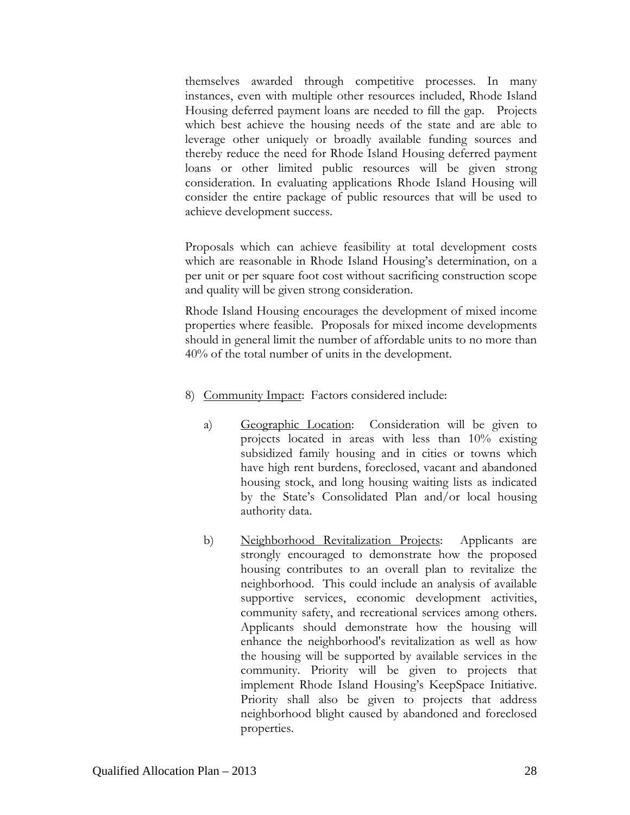themselves awarded through competitive processes. In many instances, even with multiple other resources included, Rhode Island Housing deferred payment loans are needed to fill the gap. Projects which best achieve the housing needs of the state and are able to leverage other uniquely or broadly available funding sources and thereby reduce the need for Rhode Island Housing deferred payment loans or other limited public resources will be given strong consideration. In evaluating applications Rhode Island Housing will consider the entire package of public resources that will be used to achieve development success.

Proposals which can achieve feasibility at total development costs which are reasonable in Rhode Island Housing's determination, on a per unit or per square foot cost without sacrificing construction scope and quality will be given strong consideration.

Rhode Island Housing encourages the development of mixed income properties where feasible. Proposals for mixed income developments should in general limit the number of affordable units to no more than 40% of the total number of units in the development.

- 8) Community Impact: Factors considered include:
	- a) Geographic Location: Consideration will be given to projects located in areas with less than 10% existing subsidized family housing and in cities or towns which have high rent burdens, foreclosed, vacant and abandoned housing stock, and long housing waiting lists as indicated by the State's Consolidated Plan and/or local housing authority data.
	- b) Neighborhood Revitalization Projects: Applicants are strongly encouraged to demonstrate how the proposed housing contributes to an overall plan to revitalize the neighborhood. This could include an analysis of available supportive services, economic development activities, community safety, and recreational services among others. Applicants should demonstrate how the housing will enhance the neighborhood's revitalization as well as how the housing will be supported by available services in the community. Priority will be given to projects that implement Rhode Island Housing's KeepSpace Initiative. Priority shall also be given to projects that address neighborhood blight caused by abandoned and foreclosed properties.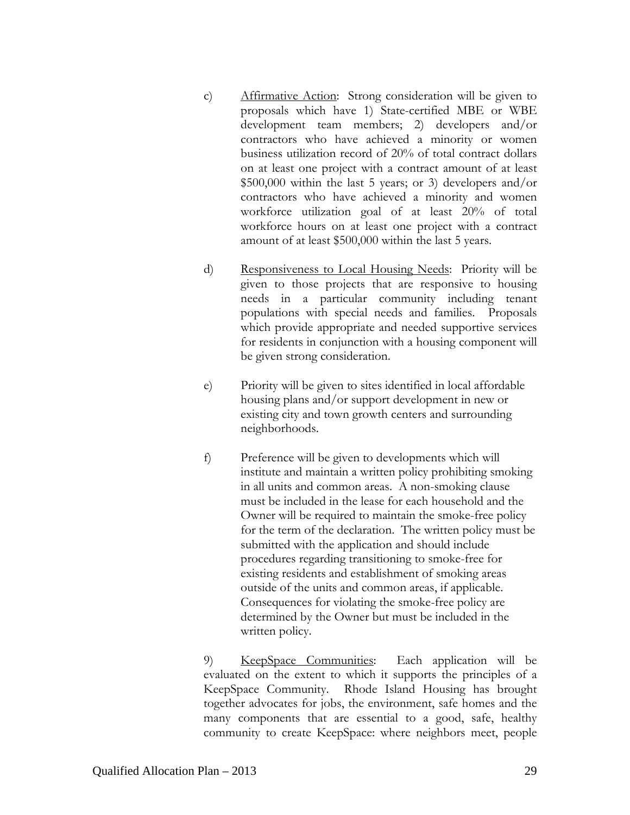- c) Affirmative Action: Strong consideration will be given to proposals which have 1) State-certified MBE or WBE development team members; 2) developers and/or contractors who have achieved a minority or women business utilization record of 20% of total contract dollars on at least one project with a contract amount of at least \$500,000 within the last 5 years; or 3) developers and/or contractors who have achieved a minority and women workforce utilization goal of at least 20% of total workforce hours on at least one project with a contract amount of at least \$500,000 within the last 5 years.
- d) Responsiveness to Local Housing Needs: Priority will be given to those projects that are responsive to housing needs in a particular community including tenant populations with special needs and families. Proposals which provide appropriate and needed supportive services for residents in conjunction with a housing component will be given strong consideration.
- e) Priority will be given to sites identified in local affordable housing plans and/or support development in new or existing city and town growth centers and surrounding neighborhoods.
- f) Preference will be given to developments which will institute and maintain a written policy prohibiting smoking in all units and common areas. A non-smoking clause must be included in the lease for each household and the Owner will be required to maintain the smoke-free policy for the term of the declaration. The written policy must be submitted with the application and should include procedures regarding transitioning to smoke-free for existing residents and establishment of smoking areas outside of the units and common areas, if applicable. Consequences for violating the smoke-free policy are determined by the Owner but must be included in the written policy.

9) KeepSpace Communities: Each application will be evaluated on the extent to which it supports the principles of a KeepSpace Community. Rhode Island Housing has brought together advocates for jobs, the environment, safe homes and the many components that are essential to a good, safe, healthy community to create KeepSpace: where neighbors meet, people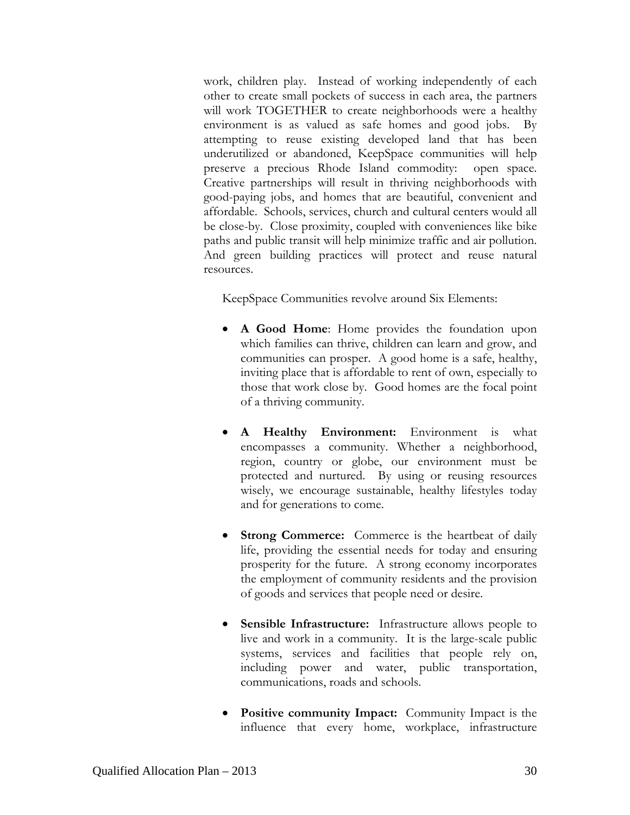work, children play. Instead of working independently of each other to create small pockets of success in each area, the partners will work TOGETHER to create neighborhoods were a healthy environment is as valued as safe homes and good jobs. By attempting to reuse existing developed land that has been underutilized or abandoned, KeepSpace communities will help preserve a precious Rhode Island commodity: open space. Creative partnerships will result in thriving neighborhoods with good-paying jobs, and homes that are beautiful, convenient and affordable. Schools, services, church and cultural centers would all be close-by. Close proximity, coupled with conveniences like bike paths and public transit will help minimize traffic and air pollution. And green building practices will protect and reuse natural resources.

KeepSpace Communities revolve around Six Elements:

- **A Good Home**: Home provides the foundation upon which families can thrive, children can learn and grow, and communities can prosper. A good home is a safe, healthy, inviting place that is affordable to rent of own, especially to those that work close by. Good homes are the focal point of a thriving community.
- **A Healthy Environment:** Environment is what encompasses a community. Whether a neighborhood, region, country or globe, our environment must be protected and nurtured. By using or reusing resources wisely, we encourage sustainable, healthy lifestyles today and for generations to come.
- **Strong Commerce:** Commerce is the heartbeat of daily life, providing the essential needs for today and ensuring prosperity for the future. A strong economy incorporates the employment of community residents and the provision of goods and services that people need or desire.
- **Sensible Infrastructure:** Infrastructure allows people to live and work in a community. It is the large-scale public systems, services and facilities that people rely on, including power and water, public transportation, communications, roads and schools.
- **Positive community Impact:** Community Impact is the influence that every home, workplace, infrastructure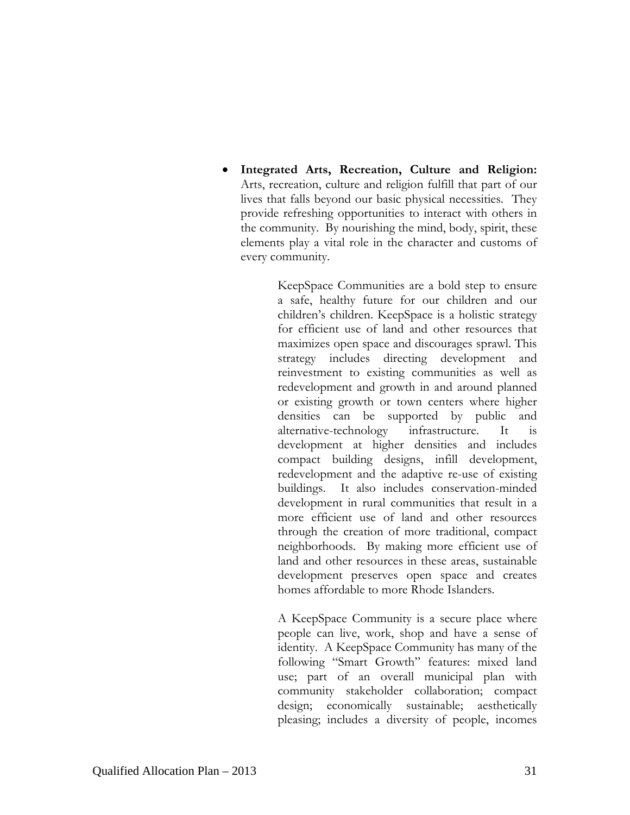**Integrated Arts, Recreation, Culture and Religion:**  Arts, recreation, culture and religion fulfill that part of our lives that falls beyond our basic physical necessities. They provide refreshing opportunities to interact with others in the community. By nourishing the mind, body, spirit, these elements play a vital role in the character and customs of every community.

> KeepSpace Communities are a bold step to ensure a safe, healthy future for our children and our children's children. KeepSpace is a holistic strategy for efficient use of land and other resources that maximizes open space and discourages sprawl. This strategy includes directing development and reinvestment to existing communities as well as redevelopment and growth in and around planned or existing growth or town centers where higher densities can be supported by public and alternative-technology infrastructure. It is development at higher densities and includes compact building designs, infill development, redevelopment and the adaptive re-use of existing buildings. It also includes conservation-minded development in rural communities that result in a more efficient use of land and other resources through the creation of more traditional, compact neighborhoods. By making more efficient use of land and other resources in these areas, sustainable development preserves open space and creates homes affordable to more Rhode Islanders.

> A KeepSpace Community is a secure place where people can live, work, shop and have a sense of identity. A KeepSpace Community has many of the following "Smart Growth" features: mixed land use; part of an overall municipal plan with community stakeholder collaboration; compact design; economically sustainable; aesthetically pleasing; includes a diversity of people, incomes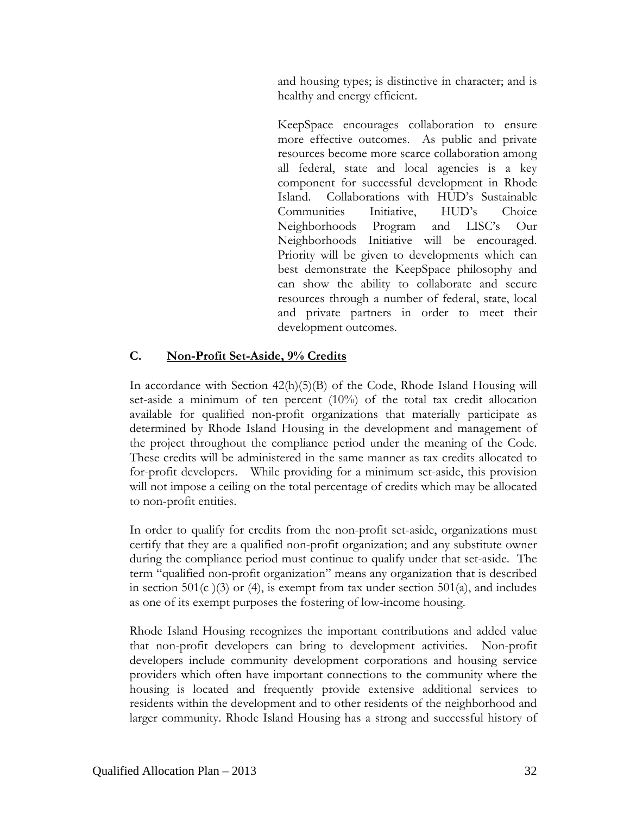and housing types; is distinctive in character; and is healthy and energy efficient.

KeepSpace encourages collaboration to ensure more effective outcomes. As public and private resources become more scarce collaboration among all federal, state and local agencies is a key component for successful development in Rhode Island. Collaborations with HUD's Sustainable Communities Initiative, HUD's Choice Neighborhoods Program and LISC's Our Neighborhoods Initiative will be encouraged. Priority will be given to developments which can best demonstrate the KeepSpace philosophy and can show the ability to collaborate and secure resources through a number of federal, state, local and private partners in order to meet their development outcomes.

## **C. Non-Profit Set-Aside, 9% Credits**

In accordance with Section  $42(h)(5)(B)$  of the Code, Rhode Island Housing will set-aside a minimum of ten percent (10%) of the total tax credit allocation available for qualified non-profit organizations that materially participate as determined by Rhode Island Housing in the development and management of the project throughout the compliance period under the meaning of the Code. These credits will be administered in the same manner as tax credits allocated to for-profit developers. While providing for a minimum set-aside, this provision will not impose a ceiling on the total percentage of credits which may be allocated to non-profit entities.

In order to qualify for credits from the non-profit set-aside, organizations must certify that they are a qualified non-profit organization; and any substitute owner during the compliance period must continue to qualify under that set-aside. The term "qualified non-profit organization" means any organization that is described in section  $501(c)(3)$  or (4), is exempt from tax under section  $501(a)$ , and includes as one of its exempt purposes the fostering of low-income housing.

Rhode Island Housing recognizes the important contributions and added value that non-profit developers can bring to development activities. Non-profit developers include community development corporations and housing service providers which often have important connections to the community where the housing is located and frequently provide extensive additional services to residents within the development and to other residents of the neighborhood and larger community. Rhode Island Housing has a strong and successful history of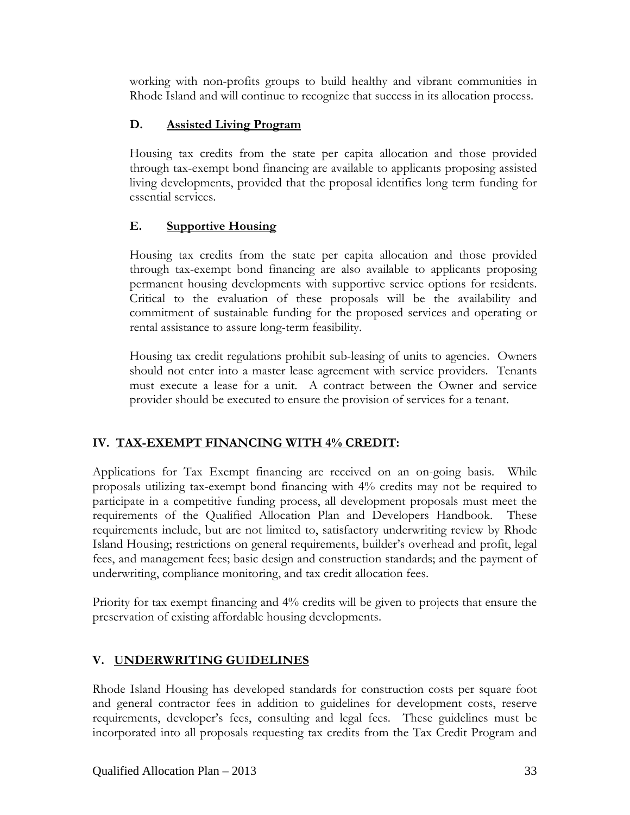working with non-profits groups to build healthy and vibrant communities in Rhode Island and will continue to recognize that success in its allocation process.

## **D. Assisted Living Program**

Housing tax credits from the state per capita allocation and those provided through tax-exempt bond financing are available to applicants proposing assisted living developments, provided that the proposal identifies long term funding for essential services.

## **E. Supportive Housing**

Housing tax credits from the state per capita allocation and those provided through tax-exempt bond financing are also available to applicants proposing permanent housing developments with supportive service options for residents. Critical to the evaluation of these proposals will be the availability and commitment of sustainable funding for the proposed services and operating or rental assistance to assure long-term feasibility.

Housing tax credit regulations prohibit sub-leasing of units to agencies. Owners should not enter into a master lease agreement with service providers. Tenants must execute a lease for a unit. A contract between the Owner and service provider should be executed to ensure the provision of services for a tenant.

# **IV. TAX-EXEMPT FINANCING WITH 4% CREDIT:**

Applications for Tax Exempt financing are received on an on-going basis. While proposals utilizing tax-exempt bond financing with 4% credits may not be required to participate in a competitive funding process, all development proposals must meet the requirements of the Qualified Allocation Plan and Developers Handbook. These requirements include, but are not limited to, satisfactory underwriting review by Rhode Island Housing; restrictions on general requirements, builder's overhead and profit, legal fees, and management fees; basic design and construction standards; and the payment of underwriting, compliance monitoring, and tax credit allocation fees.

Priority for tax exempt financing and 4% credits will be given to projects that ensure the preservation of existing affordable housing developments.

# **V. UNDERWRITING GUIDELINES**

Rhode Island Housing has developed standards for construction costs per square foot and general contractor fees in addition to guidelines for development costs, reserve requirements, developer's fees, consulting and legal fees. These guidelines must be incorporated into all proposals requesting tax credits from the Tax Credit Program and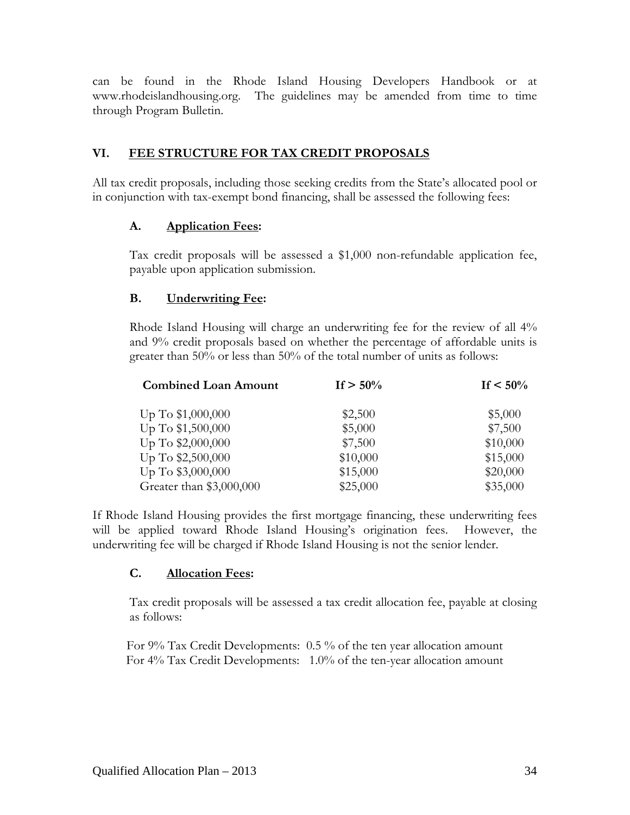can be found in the Rhode Island Housing Developers Handbook or at www.rhodeislandhousing.org. The guidelines may be amended from time to time through Program Bulletin.

## **VI. FEE STRUCTURE FOR TAX CREDIT PROPOSALS**

All tax credit proposals, including those seeking credits from the State's allocated pool or in conjunction with tax-exempt bond financing, shall be assessed the following fees:

## **A. Application Fees:**

Tax credit proposals will be assessed a \$1,000 non-refundable application fee, payable upon application submission.

## **B. Underwriting Fee:**

Rhode Island Housing will charge an underwriting fee for the review of all 4% and 9% credit proposals based on whether the percentage of affordable units is greater than 50% or less than 50% of the total number of units as follows:

| <b>Combined Loan Amount</b> | If $> 50\%$ | If $< 50\%$ |
|-----------------------------|-------------|-------------|
| Up To \$1,000,000           | \$2,500     | \$5,000     |
| Up To \$1,500,000           | \$5,000     | \$7,500     |
| Up To \$2,000,000           | \$7,500     | \$10,000    |
| Up To \$2,500,000           | \$10,000    | \$15,000    |
| Up To \$3,000,000           | \$15,000    | \$20,000    |
| Greater than \$3,000,000    | \$25,000    | \$35,000    |

If Rhode Island Housing provides the first mortgage financing, these underwriting fees will be applied toward Rhode Island Housing's origination fees. However, the underwriting fee will be charged if Rhode Island Housing is not the senior lender.

### **C. Allocation Fees:**

Tax credit proposals will be assessed a tax credit allocation fee, payable at closing as follows:

For 9% Tax Credit Developments: 0.5 % of the ten year allocation amount For 4% Tax Credit Developments: 1.0% of the ten-year allocation amount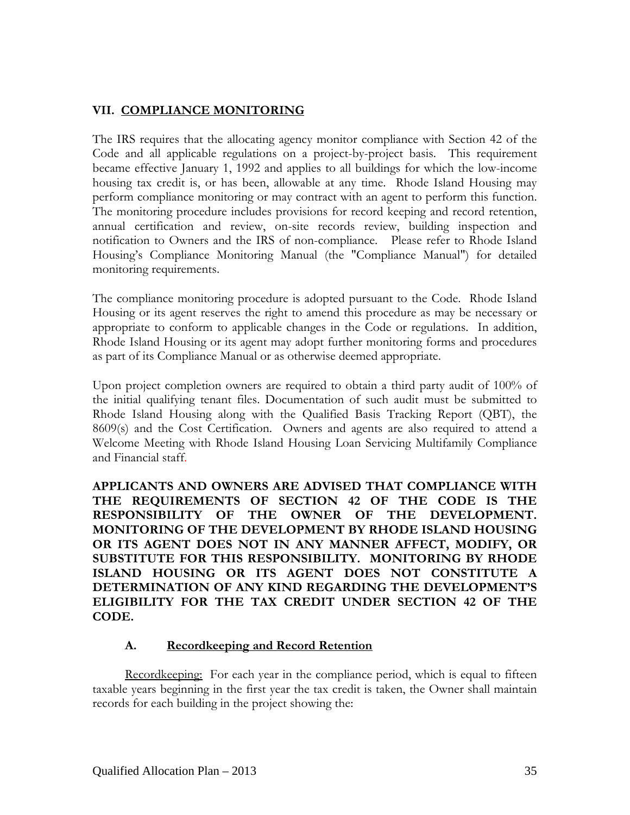## **VII. COMPLIANCE MONITORING**

The IRS requires that the allocating agency monitor compliance with Section 42 of the Code and all applicable regulations on a project-by-project basis. This requirement became effective January 1, 1992 and applies to all buildings for which the low-income housing tax credit is, or has been, allowable at any time. Rhode Island Housing may perform compliance monitoring or may contract with an agent to perform this function. The monitoring procedure includes provisions for record keeping and record retention, annual certification and review, on-site records review, building inspection and notification to Owners and the IRS of non-compliance. Please refer to Rhode Island Housing's Compliance Monitoring Manual (the "Compliance Manual") for detailed monitoring requirements.

The compliance monitoring procedure is adopted pursuant to the Code. Rhode Island Housing or its agent reserves the right to amend this procedure as may be necessary or appropriate to conform to applicable changes in the Code or regulations. In addition, Rhode Island Housing or its agent may adopt further monitoring forms and procedures as part of its Compliance Manual or as otherwise deemed appropriate.

Upon project completion owners are required to obtain a third party audit of 100% of the initial qualifying tenant files. Documentation of such audit must be submitted to Rhode Island Housing along with the Qualified Basis Tracking Report (QBT), the 8609(s) and the Cost Certification. Owners and agents are also required to attend a Welcome Meeting with Rhode Island Housing Loan Servicing Multifamily Compliance and Financial staff.

**APPLICANTS AND OWNERS ARE ADVISED THAT COMPLIANCE WITH THE REQUIREMENTS OF SECTION 42 OF THE CODE IS THE RESPONSIBILITY OF THE OWNER OF THE DEVELOPMENT. MONITORING OF THE DEVELOPMENT BY RHODE ISLAND HOUSING OR ITS AGENT DOES NOT IN ANY MANNER AFFECT, MODIFY, OR SUBSTITUTE FOR THIS RESPONSIBILITY. MONITORING BY RHODE ISLAND HOUSING OR ITS AGENT DOES NOT CONSTITUTE A DETERMINATION OF ANY KIND REGARDING THE DEVELOPMENT'S ELIGIBILITY FOR THE TAX CREDIT UNDER SECTION 42 OF THE CODE.** 

### **A. Recordkeeping and Record Retention**

Recordkeeping: For each year in the compliance period, which is equal to fifteen taxable years beginning in the first year the tax credit is taken, the Owner shall maintain records for each building in the project showing the: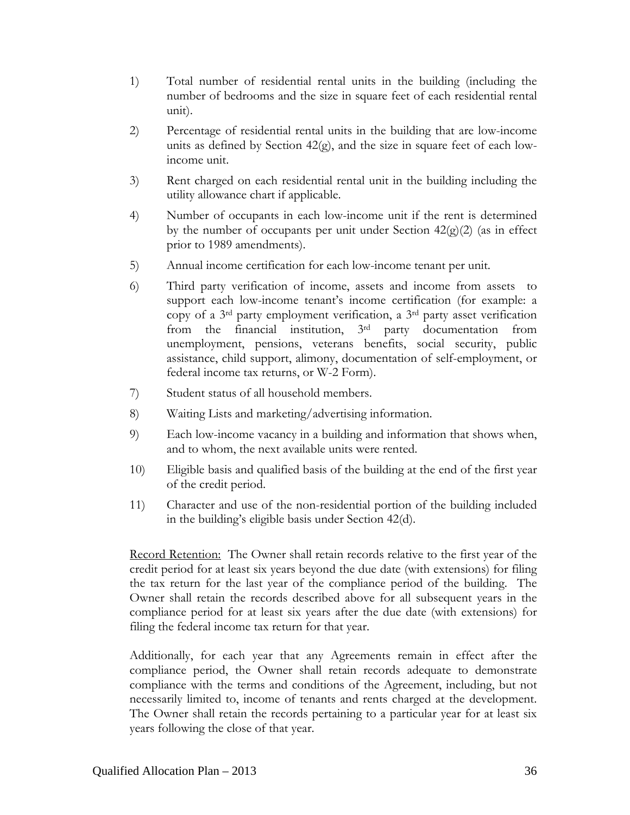- 1) Total number of residential rental units in the building (including the number of bedrooms and the size in square feet of each residential rental unit).
- 2) Percentage of residential rental units in the building that are low-income units as defined by Section 42(g), and the size in square feet of each lowincome unit.
- 3) Rent charged on each residential rental unit in the building including the utility allowance chart if applicable.
- 4) Number of occupants in each low-income unit if the rent is determined by the number of occupants per unit under Section  $42(g)(2)$  (as in effect prior to 1989 amendments).
- 5) Annual income certification for each low-income tenant per unit.
- 6) Third party verification of income, assets and income from assets to support each low-income tenant's income certification (for example: a copy of a 3rd party employment verification, a 3rd party asset verification from the financial institution, 3rd party documentation from unemployment, pensions, veterans benefits, social security, public assistance, child support, alimony, documentation of self-employment, or federal income tax returns, or W-2 Form).
- 7) Student status of all household members.
- 8) Waiting Lists and marketing/advertising information.
- 9) Each low-income vacancy in a building and information that shows when, and to whom, the next available units were rented.
- 10) Eligible basis and qualified basis of the building at the end of the first year of the credit period.
- 11) Character and use of the non-residential portion of the building included in the building's eligible basis under Section 42(d).

Record Retention: The Owner shall retain records relative to the first year of the credit period for at least six years beyond the due date (with extensions) for filing the tax return for the last year of the compliance period of the building. The Owner shall retain the records described above for all subsequent years in the compliance period for at least six years after the due date (with extensions) for filing the federal income tax return for that year.

Additionally, for each year that any Agreements remain in effect after the compliance period, the Owner shall retain records adequate to demonstrate compliance with the terms and conditions of the Agreement, including, but not necessarily limited to, income of tenants and rents charged at the development. The Owner shall retain the records pertaining to a particular year for at least six years following the close of that year.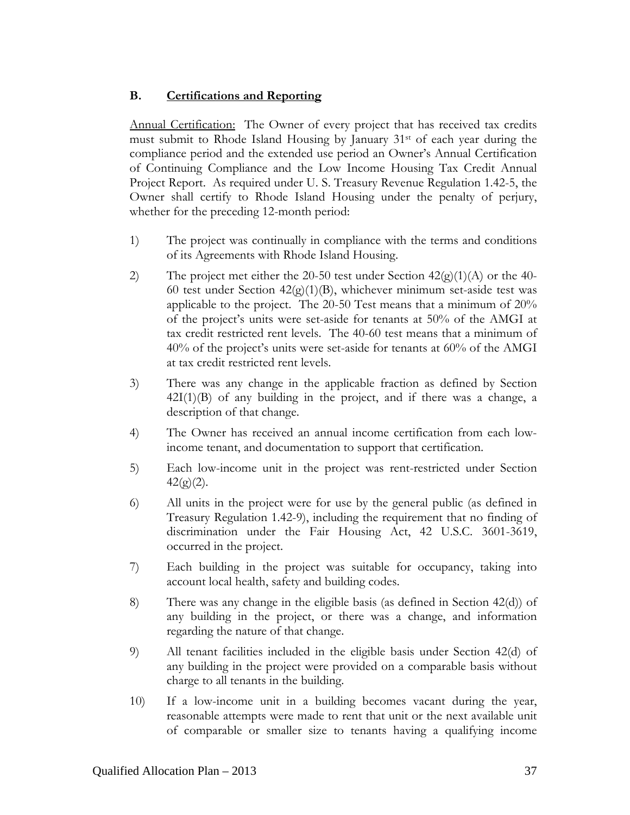### **B. Certifications and Reporting**

Annual Certification: The Owner of every project that has received tax credits must submit to Rhode Island Housing by January  $31<sup>st</sup>$  of each year during the compliance period and the extended use period an Owner's Annual Certification of Continuing Compliance and the Low Income Housing Tax Credit Annual Project Report. As required under U. S. Treasury Revenue Regulation 1.42-5, the Owner shall certify to Rhode Island Housing under the penalty of perjury, whether for the preceding 12-month period:

- 1) The project was continually in compliance with the terms and conditions of its Agreements with Rhode Island Housing.
- 2) The project met either the 20-50 test under Section  $42(g)(1)(A)$  or the 40-60 test under Section  $42(g)(1)(B)$ , whichever minimum set-aside test was applicable to the project. The 20-50 Test means that a minimum of 20% of the project's units were set-aside for tenants at 50% of the AMGI at tax credit restricted rent levels. The 40-60 test means that a minimum of 40% of the project's units were set-aside for tenants at 60% of the AMGI at tax credit restricted rent levels.
- 3) There was any change in the applicable fraction as defined by Section  $42I(1)(B)$  of any building in the project, and if there was a change, a description of that change.
- 4) The Owner has received an annual income certification from each lowincome tenant, and documentation to support that certification.
- 5) Each low-income unit in the project was rent-restricted under Section  $42(g)(2)$ .
- 6) All units in the project were for use by the general public (as defined in Treasury Regulation 1.42-9), including the requirement that no finding of discrimination under the Fair Housing Act, 42 U.S.C. 3601-3619, occurred in the project.
- 7) Each building in the project was suitable for occupancy, taking into account local health, safety and building codes.
- 8) There was any change in the eligible basis (as defined in Section 42(d)) of any building in the project, or there was a change, and information regarding the nature of that change.
- 9) All tenant facilities included in the eligible basis under Section 42(d) of any building in the project were provided on a comparable basis without charge to all tenants in the building.
- 10) If a low-income unit in a building becomes vacant during the year, reasonable attempts were made to rent that unit or the next available unit of comparable or smaller size to tenants having a qualifying income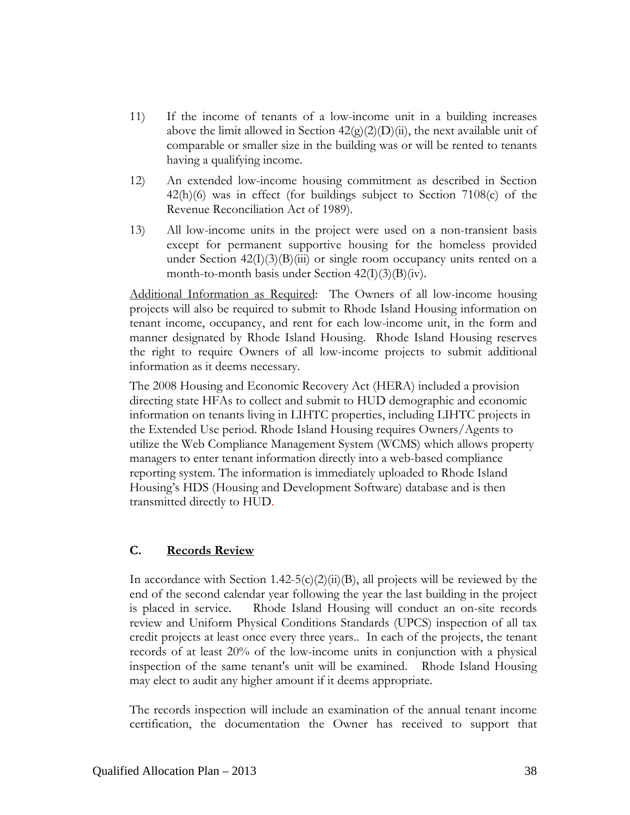- 11) If the income of tenants of a low-income unit in a building increases above the limit allowed in Section  $42(g)(2)(D)(ii)$ , the next available unit of comparable or smaller size in the building was or will be rented to tenants having a qualifying income.
- 12) An extended low-income housing commitment as described in Section 42(h)(6) was in effect (for buildings subject to Section 7108(c) of the Revenue Reconciliation Act of 1989).
- 13) All low-income units in the project were used on a non-transient basis except for permanent supportive housing for the homeless provided under Section  $42(I)(3)(B)(iii)$  or single room occupancy units rented on a month-to-month basis under Section  $42(I)(3)(B)(iv)$ .

Additional Information as Required: The Owners of all low-income housing projects will also be required to submit to Rhode Island Housing information on tenant income, occupancy, and rent for each low-income unit, in the form and manner designated by Rhode Island Housing. Rhode Island Housing reserves the right to require Owners of all low-income projects to submit additional information as it deems necessary.

The 2008 Housing and Economic Recovery Act (HERA) included a provision directing state HFAs to collect and submit to HUD demographic and economic information on tenants living in LIHTC properties, including LIHTC projects in the Extended Use period. Rhode Island Housing requires Owners/Agents to utilize the Web Compliance Management System (WCMS) which allows property managers to enter tenant information directly into a web-based compliance reporting system. The information is immediately uploaded to Rhode Island Housing's HDS (Housing and Development Software) database and is then transmitted directly to HUD.

### **C. Records Review**

In accordance with Section 1.42-5(c)(2)(ii)(B), all projects will be reviewed by the end of the second calendar year following the year the last building in the project is placed in service. Rhode Island Housing will conduct an on-site records review and Uniform Physical Conditions Standards (UPCS) inspection of all tax credit projects at least once every three years.. In each of the projects, the tenant records of at least 20% of the low-income units in conjunction with a physical inspection of the same tenant's unit will be examined. Rhode Island Housing may elect to audit any higher amount if it deems appropriate.

The records inspection will include an examination of the annual tenant income certification, the documentation the Owner has received to support that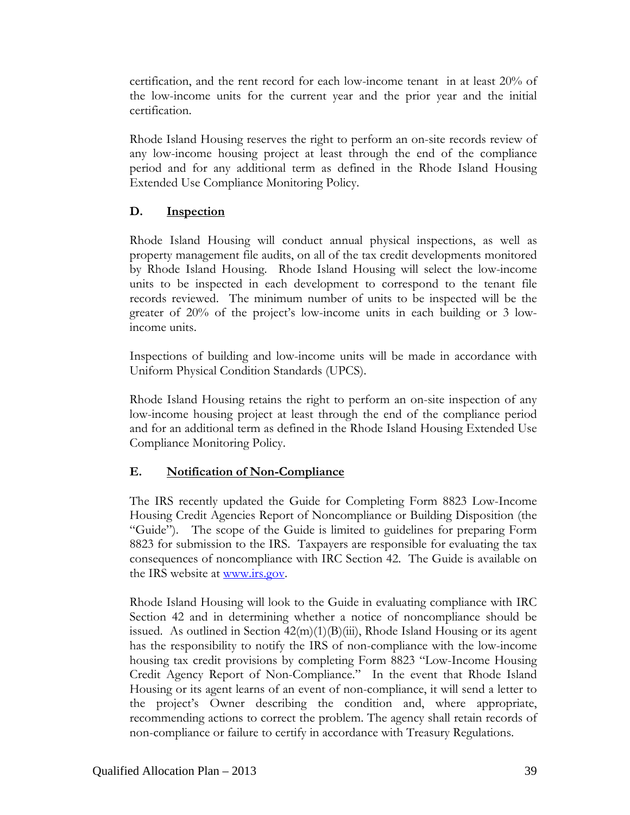certification, and the rent record for each low-income tenant in at least 20% of the low-income units for the current year and the prior year and the initial certification.

Rhode Island Housing reserves the right to perform an on-site records review of any low-income housing project at least through the end of the compliance period and for any additional term as defined in the Rhode Island Housing Extended Use Compliance Monitoring Policy.

## **D. Inspection**

Rhode Island Housing will conduct annual physical inspections, as well as property management file audits, on all of the tax credit developments monitored by Rhode Island Housing. Rhode Island Housing will select the low-income units to be inspected in each development to correspond to the tenant file records reviewed. The minimum number of units to be inspected will be the greater of 20% of the project's low-income units in each building or 3 lowincome units.

Inspections of building and low-income units will be made in accordance with Uniform Physical Condition Standards (UPCS).

Rhode Island Housing retains the right to perform an on-site inspection of any low-income housing project at least through the end of the compliance period and for an additional term as defined in the Rhode Island Housing Extended Use Compliance Monitoring Policy.

## **E. Notification of Non-Compliance**

The IRS recently updated the Guide for Completing Form 8823 Low-Income Housing Credit Agencies Report of Noncompliance or Building Disposition (the "Guide"). The scope of the Guide is limited to guidelines for preparing Form 8823 for submission to the IRS. Taxpayers are responsible for evaluating the tax consequences of noncompliance with IRC Section 42. The Guide is available on the IRS website at [www.irs.gov.](http://www.irs.gov/)

Rhode Island Housing will look to the Guide in evaluating compliance with IRC Section 42 and in determining whether a notice of noncompliance should be issued. As outlined in Section  $42(m)(1)(B)(iii)$ , Rhode Island Housing or its agent has the responsibility to notify the IRS of non-compliance with the low-income housing tax credit provisions by completing Form 8823 "Low-Income Housing Credit Agency Report of Non-Compliance." In the event that Rhode Island Housing or its agent learns of an event of non-compliance, it will send a letter to the project's Owner describing the condition and, where appropriate, recommending actions to correct the problem. The agency shall retain records of non-compliance or failure to certify in accordance with Treasury Regulations.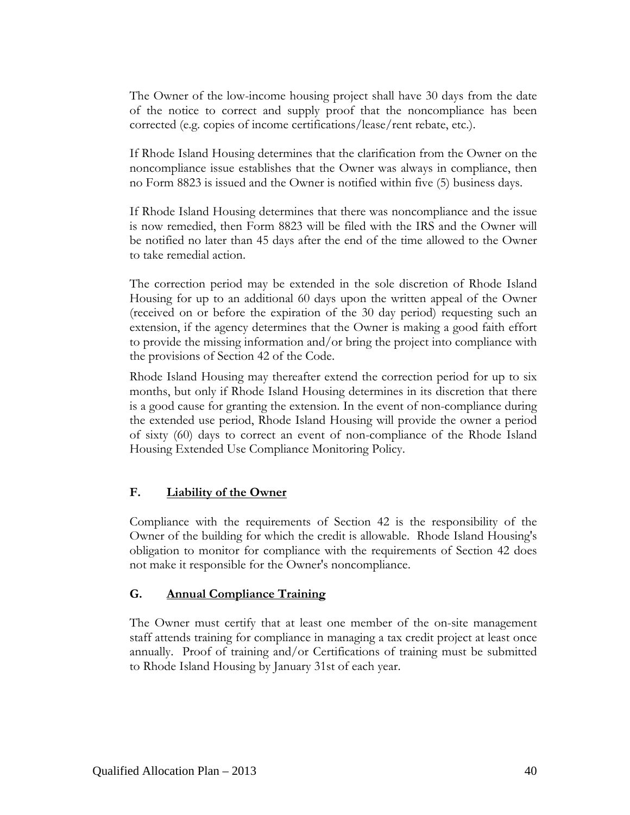The Owner of the low-income housing project shall have 30 days from the date of the notice to correct and supply proof that the noncompliance has been corrected (e.g. copies of income certifications/lease/rent rebate, etc.).

If Rhode Island Housing determines that the clarification from the Owner on the noncompliance issue establishes that the Owner was always in compliance, then no Form 8823 is issued and the Owner is notified within five (5) business days.

If Rhode Island Housing determines that there was noncompliance and the issue is now remedied, then Form 8823 will be filed with the IRS and the Owner will be notified no later than 45 days after the end of the time allowed to the Owner to take remedial action.

The correction period may be extended in the sole discretion of Rhode Island Housing for up to an additional 60 days upon the written appeal of the Owner (received on or before the expiration of the 30 day period) requesting such an extension, if the agency determines that the Owner is making a good faith effort to provide the missing information and/or bring the project into compliance with the provisions of Section 42 of the Code.

Rhode Island Housing may thereafter extend the correction period for up to six months, but only if Rhode Island Housing determines in its discretion that there is a good cause for granting the extension. In the event of non-compliance during the extended use period, Rhode Island Housing will provide the owner a period of sixty (60) days to correct an event of non-compliance of the Rhode Island Housing Extended Use Compliance Monitoring Policy.

### **F. Liability of the Owner**

Compliance with the requirements of Section 42 is the responsibility of the Owner of the building for which the credit is allowable. Rhode Island Housing's obligation to monitor for compliance with the requirements of Section 42 does not make it responsible for the Owner's noncompliance.

### **G. Annual Compliance Training**

The Owner must certify that at least one member of the on-site management staff attends training for compliance in managing a tax credit project at least once annually. Proof of training and/or Certifications of training must be submitted to Rhode Island Housing by January 31st of each year.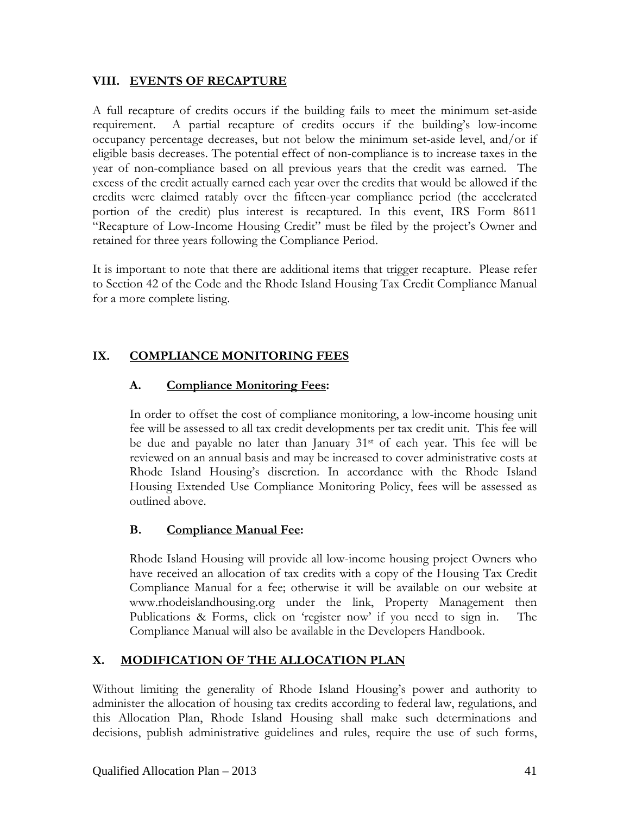### **VIII. EVENTS OF RECAPTURE**

A full recapture of credits occurs if the building fails to meet the minimum set-aside requirement. A partial recapture of credits occurs if the building's low-income occupancy percentage decreases, but not below the minimum set-aside level, and/or if eligible basis decreases. The potential effect of non-compliance is to increase taxes in the year of non-compliance based on all previous years that the credit was earned. The excess of the credit actually earned each year over the credits that would be allowed if the credits were claimed ratably over the fifteen-year compliance period (the accelerated portion of the credit) plus interest is recaptured. In this event, IRS Form 8611 "Recapture of Low-Income Housing Credit" must be filed by the project's Owner and retained for three years following the Compliance Period.

It is important to note that there are additional items that trigger recapture. Please refer to Section 42 of the Code and the Rhode Island Housing Tax Credit Compliance Manual for a more complete listing.

## **IX. COMPLIANCE MONITORING FEES**

## **A. Compliance Monitoring Fees:**

In order to offset the cost of compliance monitoring, a low-income housing unit fee will be assessed to all tax credit developments per tax credit unit. This fee will be due and payable no later than January  $31<sup>st</sup>$  of each year. This fee will be reviewed on an annual basis and may be increased to cover administrative costs at Rhode Island Housing's discretion. In accordance with the Rhode Island Housing Extended Use Compliance Monitoring Policy, fees will be assessed as outlined above.

### **B. Compliance Manual Fee:**

Rhode Island Housing will provide all low-income housing project Owners who have received an allocation of tax credits with a copy of the Housing Tax Credit Compliance Manual for a fee; otherwise it will be available on our website at www.rhodeislandhousing.org under the link, Property Management then Publications & Forms, click on 'register now' if you need to sign in. The Compliance Manual will also be available in the Developers Handbook.

## **X. MODIFICATION OF THE ALLOCATION PLAN**

Without limiting the generality of Rhode Island Housing's power and authority to administer the allocation of housing tax credits according to federal law, regulations, and this Allocation Plan, Rhode Island Housing shall make such determinations and decisions, publish administrative guidelines and rules, require the use of such forms,